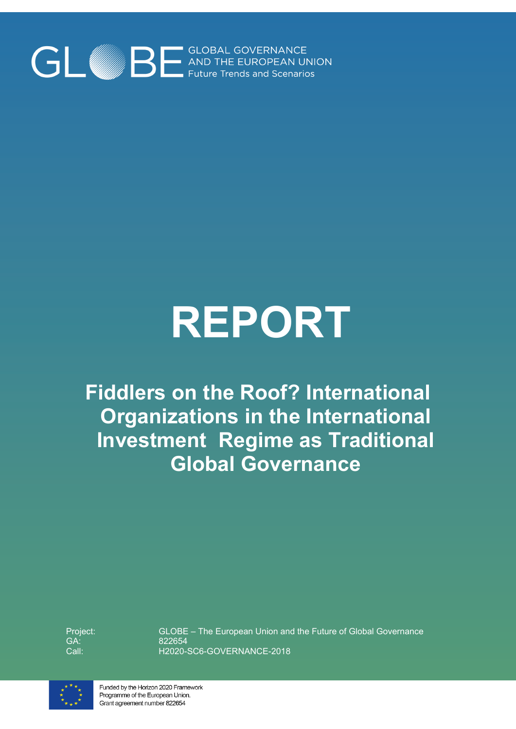

# **REPORT**

**Fiddlers on the Roof? International Organizations in the International Investment Regime as Traditional Global Governance**

Project: GA: Call:

GLOBE – The European Union and the Future of Global Governance 822654 H2020-SC6-GOVERNANCE-2018



Funded by the Horizon 2020 Framework Programme of the European Union. Grant agreement number 822654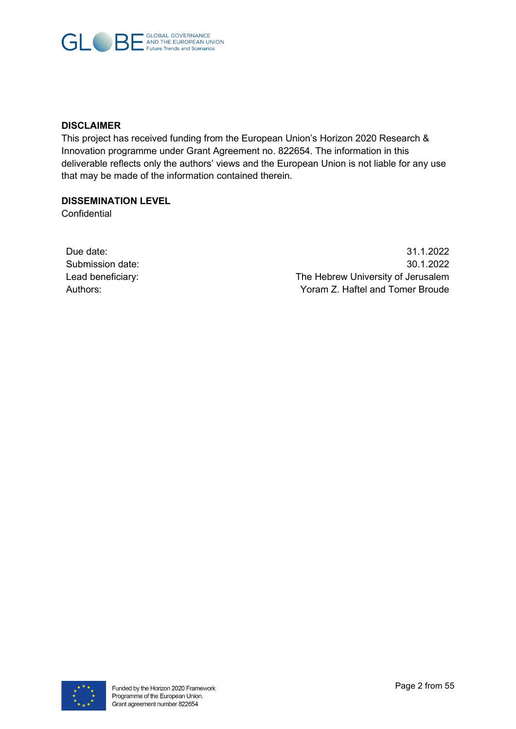

## **DISCLAIMER**

This project has received funding from the European Union's Horizon 2020 Research & Innovation programme under Grant Agreement no. 822654. The information in this deliverable reflects only the authors' views and the European Union is not liable for any use that may be made of the information contained therein.

#### **DISSEMINATION LEVEL**

**Confidential** 

| Due date:         |
|-------------------|
| Submission date:  |
| Lead beneficiary: |
| Authors:          |

Due date: 31.1.2022 Submission date: 30.1.2022 The Hebrew University of Jerusalem Yoram Z. Haftel and Tomer Broude

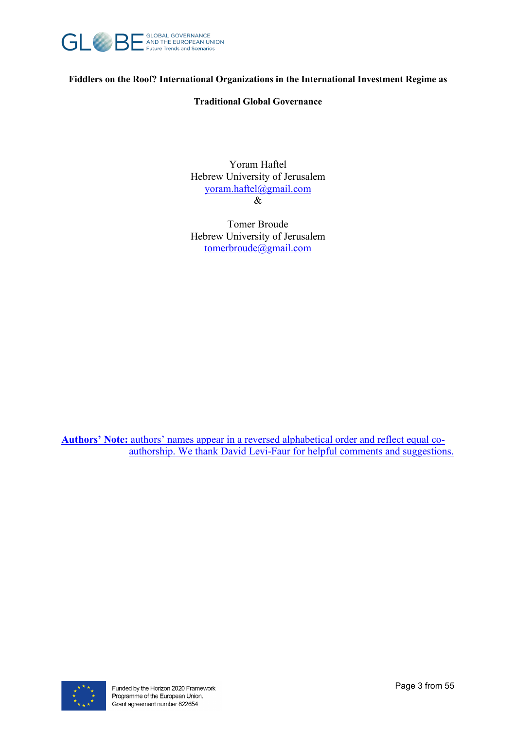

**Fiddlers on the Roof? International Organizations in the International Investment Regime as** 

### **Traditional Global Governance**

Yoram Haftel Hebrew University of Jerusalem [yoram.haftel@gmail.com](mailto:yoram.haftel@gmail.com) &

Tomer Broude Hebrew University of Jerusalem [tomerbroude@gmail.com](mailto:tomerbroude@gmail.com)

**Authors' Note:** authors' names appear in a reversed alphabetical order and reflect equal coauthorship. We thank David Levi-Faur for helpful comments and suggestions.

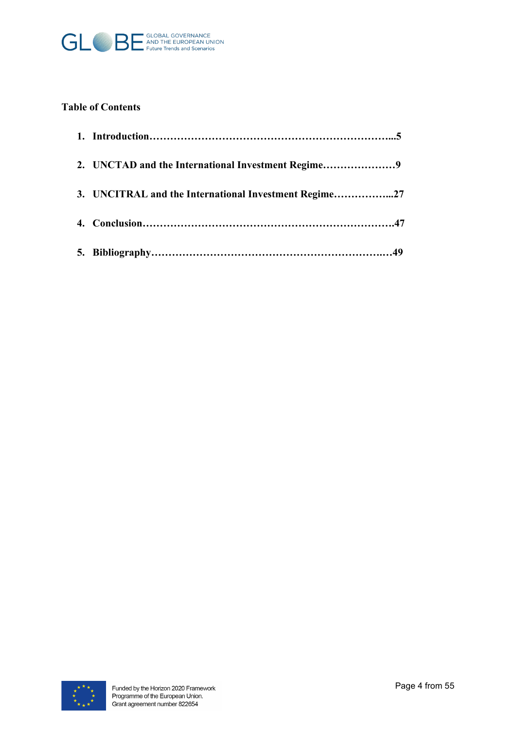

## **Table of Contents**

| 3. UNCITRAL and the International Investment Regime27 |
|-------------------------------------------------------|
|                                                       |
|                                                       |

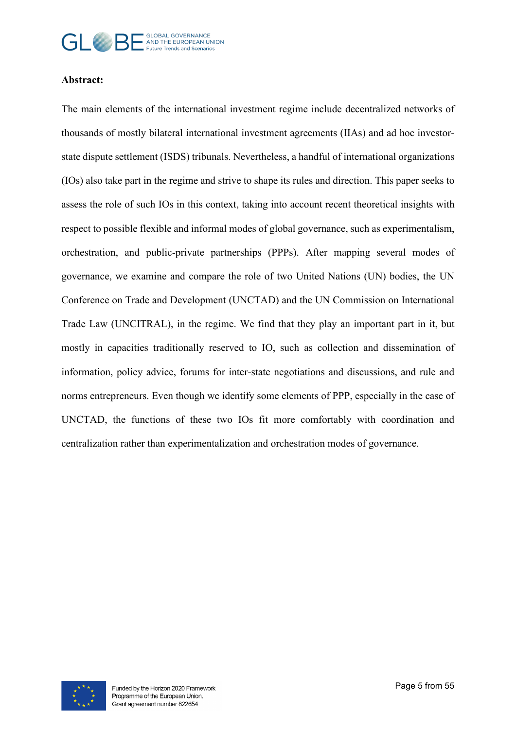

## **Abstract:**

The main elements of the international investment regime include decentralized networks of thousands of mostly bilateral international investment agreements (IIAs) and ad hoc investorstate dispute settlement (ISDS) tribunals. Nevertheless, a handful of international organizations (IOs) also take part in the regime and strive to shape its rules and direction. This paper seeks to assess the role of such IOs in this context, taking into account recent theoretical insights with respect to possible flexible and informal modes of global governance, such as experimentalism, orchestration, and public-private partnerships (PPPs). After mapping several modes of governance, we examine and compare the role of two United Nations (UN) bodies, the UN Conference on Trade and Development (UNCTAD) and the UN Commission on International Trade Law (UNCITRAL), in the regime. We find that they play an important part in it, but mostly in capacities traditionally reserved to IO, such as collection and dissemination of information, policy advice, forums for inter-state negotiations and discussions, and rule and norms entrepreneurs. Even though we identify some elements of PPP, especially in the case of UNCTAD, the functions of these two IOs fit more comfortably with coordination and centralization rather than experimentalization and orchestration modes of governance.

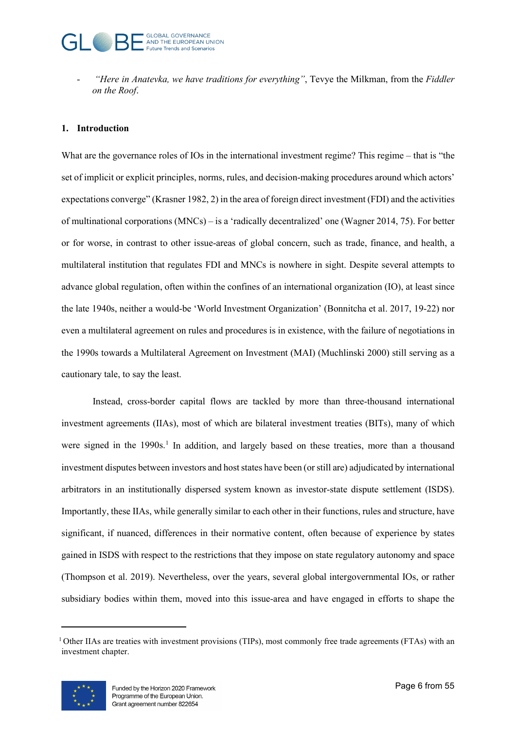- *"Here in Anatevka, we have traditions for everything"*, Tevye the Milkman, from the *Fiddler on the Roof*.

## **1. Introduction**

What are the governance roles of IOs in the international investment regime? This regime – that is "the set of implicit or explicit principles, norms, rules, and decision-making procedures around which actors' expectations converge" (Krasner 1982, 2) in the area of foreign direct investment (FDI) and the activities of multinational corporations (MNCs) – is a 'radically decentralized' one (Wagner 2014, 75). For better or for worse, in contrast to other issue-areas of global concern, such as trade, finance, and health, a multilateral institution that regulates FDI and MNCs is nowhere in sight. Despite several attempts to advance global regulation, often within the confines of an international organization (IO), at least since the late 1940s, neither a would-be 'World Investment Organization' (Bonnitcha et al. 2017, 19-22) nor even a multilateral agreement on rules and procedures is in existence, with the failure of negotiations in the 1990s towards a Multilateral Agreement on Investment (MAI) (Muchlinski 2000) still serving as a cautionary tale, to say the least.

Instead, cross-border capital flows are tackled by more than three-thousand international investment agreements (IIAs), most of which are bilateral investment treaties (BITs), many of which were signed in the [1](#page-5-0)990s.<sup>1</sup> In addition, and largely based on these treaties, more than a thousand investment disputes between investors and host states have been (or still are) adjudicated by international arbitrators in an institutionally dispersed system known as investor-state dispute settlement (ISDS). Importantly, these IIAs, while generally similar to each other in their functions, rules and structure, have significant, if nuanced, differences in their normative content, often because of experience by states gained in ISDS with respect to the restrictions that they impose on state regulatory autonomy and space (Thompson et al. 2019). Nevertheless, over the years, several global intergovernmental IOs, or rather subsidiary bodies within them, moved into this issue-area and have engaged in efforts to shape the

<span id="page-5-0"></span><sup>&</sup>lt;sup>1</sup> Other IIAs are treaties with investment provisions (TIPs), most commonly free trade agreements (FTAs) with an investment chapter.

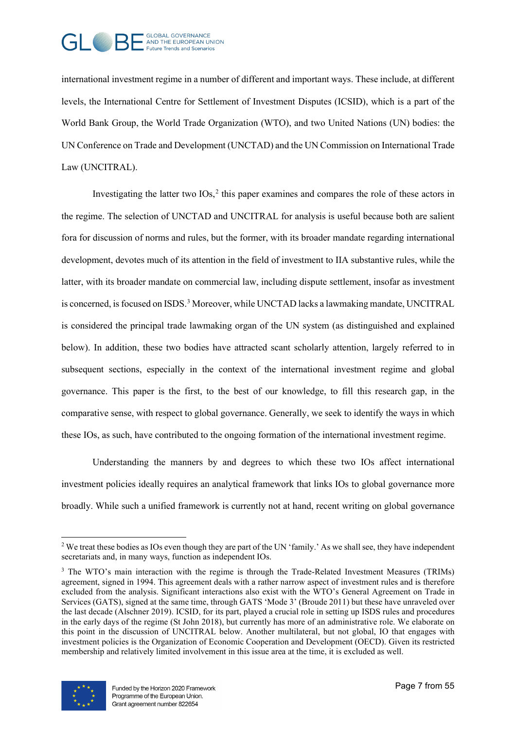

international investment regime in a number of different and important ways. These include, at different levels, the International Centre for Settlement of Investment Disputes (ICSID), which is a part of the World Bank Group, the World Trade Organization (WTO), and two United Nations (UN) bodies: the UN Conference on Trade and Development (UNCTAD) and the UN Commission on International Trade Law (UNCITRAL).

Investigating the latter two  $IOS<sub>2</sub><sup>2</sup>$  $IOS<sub>2</sub><sup>2</sup>$  $IOS<sub>2</sub><sup>2</sup>$  this paper examines and compares the role of these actors in the regime. The selection of UNCTAD and UNCITRAL for analysis is useful because both are salient fora for discussion of norms and rules, but the former, with its broader mandate regarding international development, devotes much of its attention in the field of investment to IIA substantive rules, while the latter, with its broader mandate on commercial law, including dispute settlement, insofar as investment is concerned, is focused on ISDS.<sup>[3](#page-6-1)</sup> Moreover, while UNCTAD lacks a lawmaking mandate, UNCITRAL is considered the principal trade lawmaking organ of the UN system (as distinguished and explained below). In addition, these two bodies have attracted scant scholarly attention, largely referred to in subsequent sections, especially in the context of the international investment regime and global governance. This paper is the first, to the best of our knowledge, to fill this research gap, in the comparative sense, with respect to global governance. Generally, we seek to identify the ways in which these IOs, as such, have contributed to the ongoing formation of the international investment regime.

Understanding the manners by and degrees to which these two IOs affect international investment policies ideally requires an analytical framework that links IOs to global governance more broadly. While such a unified framework is currently not at hand, recent writing on global governance

<span id="page-6-1"></span><sup>&</sup>lt;sup>3</sup> The WTO's main interaction with the regime is through the Trade-Related Investment Measures (TRIMs) agreement, signed in 1994. This agreement deals with a rather narrow aspect of investment rules and is therefore excluded from the analysis. Significant interactions also exist with the WTO's General Agreement on Trade in Services (GATS), signed at the same time, through GATS 'Mode 3' (Broude 2011) but these have unraveled over the last decade (Alschner 2019). ICSID, for its part, played a crucial role in setting up ISDS rules and procedures in the early days of the regime (St John 2018), but currently has more of an administrative role. We elaborate on this point in the discussion of UNCITRAL below. Another multilateral, but not global, IO that engages with investment policies is the Organization of Economic Cooperation and Development (OECD). Given its restricted membership and relatively limited involvement in this issue area at the time, it is excluded as well.



<span id="page-6-0"></span><sup>&</sup>lt;sup>2</sup> We treat these bodies as IOs even though they are part of the UN 'family.' As we shall see, they have independent secretariats and, in many ways, function as independent IOs.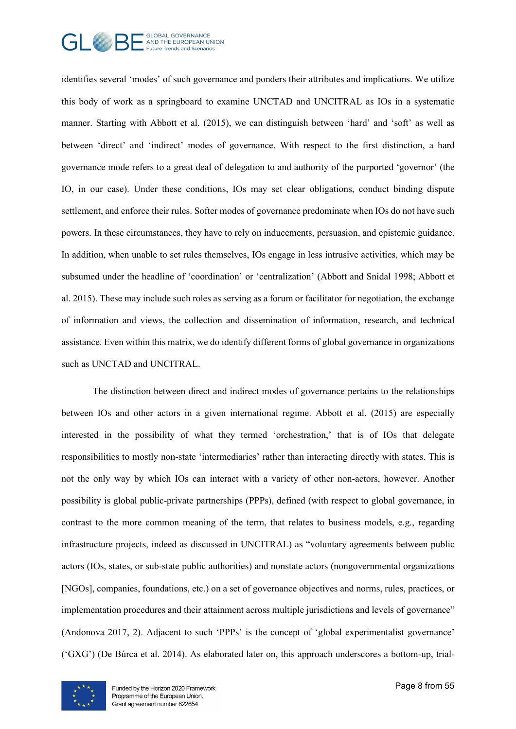

identifies several 'modes' of such governance and ponders their attributes and implications. We utilize this body of work as a springboard to examine UNCTAD and UNCITRAL as IOs in a systematic manner. Starting with Abbott et al. (2015), we can distinguish between 'hard' and 'soft' as well as between 'direct' and 'indirect' modes of governance. With respect to the first distinction, a hard governance mode refers to a great deal of delegation to and authority of the purported 'governor' (the IO, in our case). Under these conditions, IOs may set clear obligations, conduct binding dispute settlement, and enforce their rules. Softer modes of governance predominate when IOs do not have such powers. In these circumstances, they have to rely on inducements, persuasion, and epistemic guidance. In addition, when unable to set rules themselves, IOs engage in less intrusive activities, which may be subsumed under the headline of 'coordination' or 'centralization' (Abbott and Snidal 1998; Abbott et al. 2015). These may include such roles as serving as a forum or facilitator for negotiation, the exchange of information and views, the collection and dissemination of information, research, and technical assistance. Even within this matrix, we do identify different forms of global governance in organizations such as UNCTAD and UNCITRAL.

The distinction between direct and indirect modes of governance pertains to the relationships between IOs and other actors in a given international regime. Abbott et al. (2015) are especially interested in the possibility of what they termed 'orchestration,' that is of IOs that delegate responsibilities to mostly non-state 'intermediaries' rather than interacting directly with states. This is not the only way by which IOs can interact with a variety of other non-actors, however. Another possibility is global public-private partnerships (PPPs), defined (with respect to global governance, in contrast to the more common meaning of the term, that relates to business models, e.g., regarding infrastructure projects, indeed as discussed in UNCITRAL) as "voluntary agreements between public actors (IOs, states, or sub-state public authorities) and nonstate actors (nongovernmental organizations [NGOs], companies, foundations, etc.) on a set of governance objectives and norms, rules, practices, or implementation procedures and their attainment across multiple jurisdictions and levels of governance" (Andonova 2017, 2). Adjacent to such 'PPPs' is the concept of 'global experimentalist governance' ('GXG') (De Búrca et al. 2014). As elaborated later on, this approach underscores a bottom-up, trial-

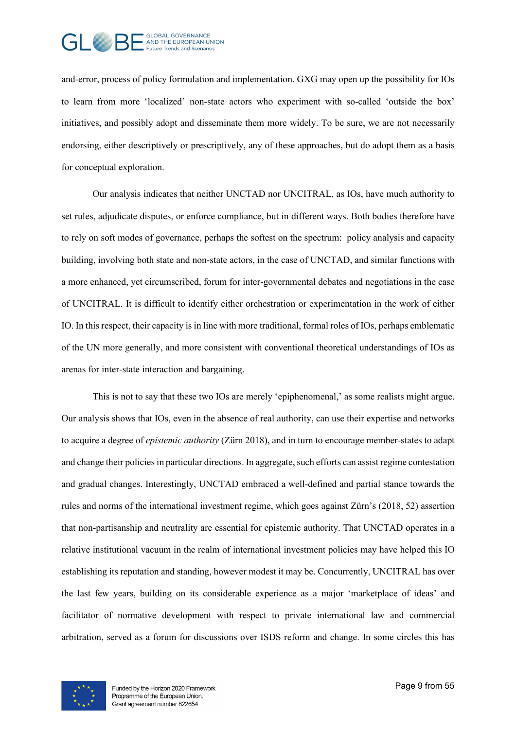

and-error, process of policy formulation and implementation. GXG may open up the possibility for IOs to learn from more 'localized' non-state actors who experiment with so-called 'outside the box' initiatives, and possibly adopt and disseminate them more widely. To be sure, we are not necessarily endorsing, either descriptively or prescriptively, any of these approaches, but do adopt them as a basis for conceptual exploration.

Our analysis indicates that neither UNCTAD nor UNCITRAL, as IOs, have much authority to set rules, adjudicate disputes, or enforce compliance, but in different ways. Both bodies therefore have to rely on soft modes of governance, perhaps the softest on the spectrum: policy analysis and capacity building, involving both state and non-state actors, in the case of UNCTAD, and similar functions with a more enhanced, yet circumscribed, forum for inter-governmental debates and negotiations in the case of UNCITRAL. It is difficult to identify either orchestration or experimentation in the work of either IO. In this respect, their capacity is in line with more traditional, formal roles of IOs, perhaps emblematic of the UN more generally, and more consistent with conventional theoretical understandings of IOs as arenas for inter-state interaction and bargaining.

This is not to say that these two IOs are merely 'epiphenomenal,' as some realists might argue. Our analysis shows that IOs, even in the absence of real authority, can use their expertise and networks to acquire a degree of *epistemic authority* (Zürn 2018), and in turn to encourage member-states to adapt and change their policies in particular directions. In aggregate, such efforts can assist regime contestation and gradual changes. Interestingly, UNCTAD embraced a well-defined and partial stance towards the rules and norms of the international investment regime, which goes against Zürn's (2018, 52) assertion that non-partisanship and neutrality are essential for epistemic authority. That UNCTAD operates in a relative institutional vacuum in the realm of international investment policies may have helped this IO establishing its reputation and standing, however modest it may be. Concurrently, UNCITRAL has over the last few years, building on its considerable experience as a major 'marketplace of ideas' and facilitator of normative development with respect to private international law and commercial arbitration, served as a forum for discussions over ISDS reform and change. In some circles this has

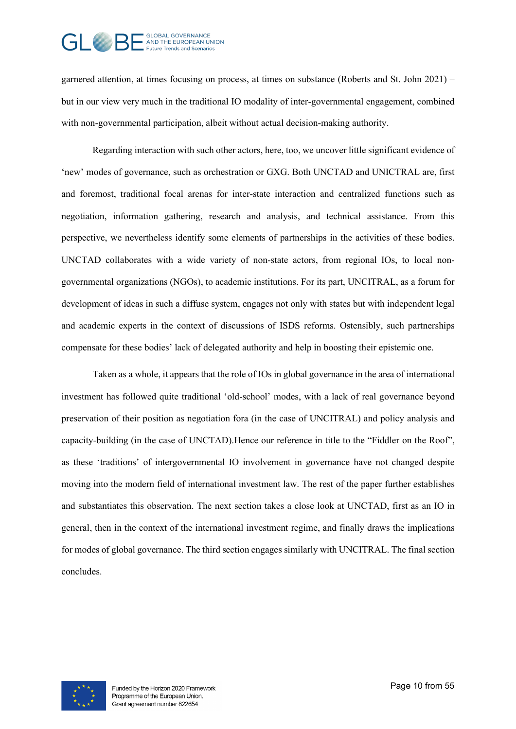# GLOBAL GOVERNANCE<br>- AND THE EUROPEAN UNION uture Trends and Scenarios

garnered attention, at times focusing on process, at times on substance (Roberts and St. John 2021) – but in our view very much in the traditional IO modality of inter-governmental engagement, combined with non-governmental participation, albeit without actual decision-making authority.

Regarding interaction with such other actors, here, too, we uncover little significant evidence of 'new' modes of governance, such as orchestration or GXG. Both UNCTAD and UNICTRAL are, first and foremost, traditional focal arenas for inter-state interaction and centralized functions such as negotiation, information gathering, research and analysis, and technical assistance. From this perspective, we nevertheless identify some elements of partnerships in the activities of these bodies. UNCTAD collaborates with a wide variety of non-state actors, from regional IOs, to local nongovernmental organizations (NGOs), to academic institutions. For its part, UNCITRAL, as a forum for development of ideas in such a diffuse system, engages not only with states but with independent legal and academic experts in the context of discussions of ISDS reforms. Ostensibly, such partnerships compensate for these bodies' lack of delegated authority and help in boosting their epistemic one.

Taken as a whole, it appears that the role of IOs in global governance in the area of international investment has followed quite traditional 'old-school' modes, with a lack of real governance beyond preservation of their position as negotiation fora (in the case of UNCITRAL) and policy analysis and capacity-building (in the case of UNCTAD).Hence our reference in title to the "Fiddler on the Roof", as these 'traditions' of intergovernmental IO involvement in governance have not changed despite moving into the modern field of international investment law. The rest of the paper further establishes and substantiates this observation. The next section takes a close look at UNCTAD, first as an IO in general, then in the context of the international investment regime, and finally draws the implications for modes of global governance. The third section engages similarly with UNCITRAL. The final section concludes.

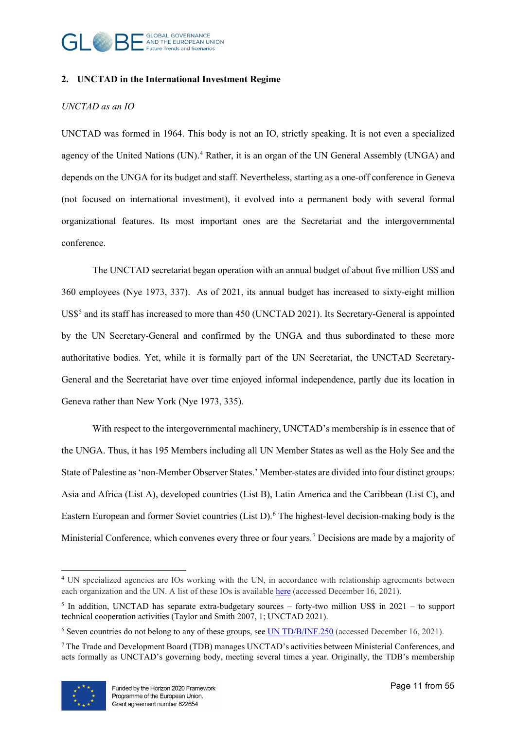

#### **2. UNCTAD in the International Investment Regime**

### *UNCTAD as an IO*

UNCTAD was formed in 1964. This body is not an IO, strictly speaking. It is not even a specialized agency of the United Nations  $(UN)$ .<sup>[4](#page-10-0)</sup> Rather, it is an organ of the UN General Assembly  $(UNGA)$  and depends on the UNGA for its budget and staff. Nevertheless, starting as a one-off conference in Geneva (not focused on international investment), it evolved into a permanent body with several formal organizational features. Its most important ones are the Secretariat and the intergovernmental conference.

The UNCTAD secretariat began operation with an annual budget of about five million US\$ and 360 employees (Nye 1973, 337). As of 2021, its annual budget has increased to sixty-eight million US\$<sup>[5](#page-10-1)</sup> and its staff has increased to more than 450 (UNCTAD 2021). Its Secretary-General is appointed by the UN Secretary-General and confirmed by the UNGA and thus subordinated to these more authoritative bodies. Yet, while it is formally part of the UN Secretariat, the UNCTAD Secretary-General and the Secretariat have over time enjoyed informal independence, partly due its location in Geneva rather than New York (Nye 1973, 335).

With respect to the intergovernmental machinery, UNCTAD's membership is in essence that of the UNGA. Thus, it has 195 Members including all UN Member States as well as the Holy See and the State of Palestine as 'non-Member Observer States.' Member-states are divided into four distinct groups: Asia and Africa (List A), developed countries (List B), Latin America and the Caribbean (List C), and Eastern European and former Soviet countries (List D).<sup>[6](#page-10-2)</sup> The highest-level decision-making body is the Ministerial Conference, which convenes every three or four years.<sup>[7](#page-10-3)</sup> Decisions are made by a majority of

<span id="page-10-3"></span><sup>7</sup> The Trade and Development Board (TDB) manages UNCTAD's activities between Ministerial Conferences, and acts formally as UNCTAD's governing body, meeting several times a year. Originally, the TDB's membership



<span id="page-10-0"></span><sup>&</sup>lt;sup>4</sup> UN specialized agencies are IOs working with the UN, in accordance with relationship agreements between each organization and the UN. A list of these IOs is available [here](https://www.un.org/en/about-us/specialized-agencies) (accessed December 16, 2021).

<span id="page-10-1"></span> $5$  In addition, UNCTAD has separate extra-budgetary sources – forty-two million US\$ in 2021 – to support technical cooperation activities (Taylor and Smith 2007, 1; UNCTAD 2021).

<span id="page-10-2"></span><sup>6</sup> Seven countries do not belong to any of these groups, see [UN TD/B/INF.250](https://unctad.org/system/files/official-document/tdbinf250_en.pdf) (accessed December 16, 2021).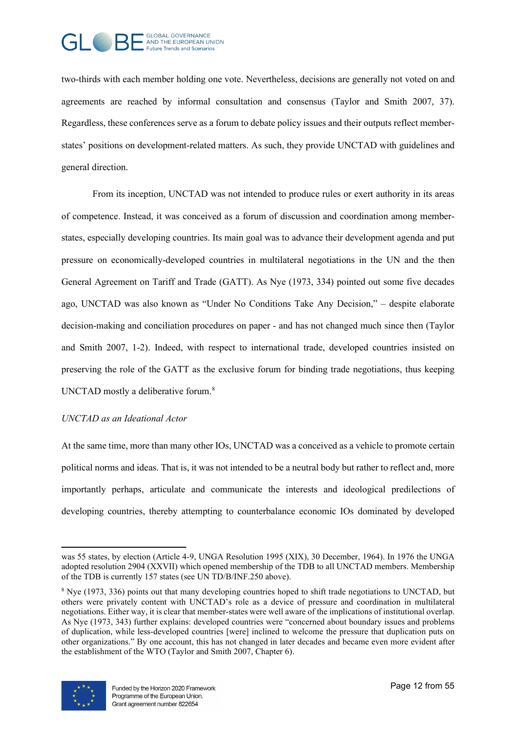

two-thirds with each member holding one vote. Nevertheless, decisions are generally not voted on and agreements are reached by informal consultation and consensus (Taylor and Smith 2007, 37). Regardless, these conferences serve as a forum to debate policy issues and their outputs reflect memberstates' positions on development-related matters. As such, they provide UNCTAD with guidelines and general direction.

From its inception, UNCTAD was not intended to produce rules or exert authority in its areas of competence. Instead, it was conceived as a forum of discussion and coordination among memberstates, especially developing countries. Its main goal was to advance their development agenda and put pressure on economically-developed countries in multilateral negotiations in the UN and the then General Agreement on Tariff and Trade (GATT). As Nye (1973, 334) pointed out some five decades ago, UNCTAD was also known as "Under No Conditions Take Any Decision," – despite elaborate decision-making and conciliation procedures on paper - and has not changed much since then (Taylor and Smith 2007, 1-2). Indeed, with respect to international trade, developed countries insisted on preserving the role of the GATT as the exclusive forum for binding trade negotiations, thus keeping UNCTAD mostly a deliberative forum. $8$ 

#### *UNCTAD as an Ideational Actor*

At the same time, more than many other IOs, UNCTAD was a conceived as a vehicle to promote certain political norms and ideas. That is, it was not intended to be a neutral body but rather to reflect and, more importantly perhaps, articulate and communicate the interests and ideological predilections of developing countries, thereby attempting to counterbalance economic IOs dominated by developed

<span id="page-11-0"></span><sup>&</sup>lt;sup>8</sup> Nye (1973, 336) points out that many developing countries hoped to shift trade negotiations to UNCTAD, but others were privately content with UNCTAD's role as a device of pressure and coordination in multilateral negotiations. Either way, it is clear that member-states were well aware of the implications of institutional overlap. As Nye (1973, 343) further explains: developed countries were "concerned about boundary issues and problems of duplication, while less-developed countries [were] inclined to welcome the pressure that duplication puts on other organizations." By one account, this has not changed in later decades and became even more evident after the establishment of the WTO (Taylor and Smith 2007, Chapter 6).



was 55 states, by election (Article 4-9, UNGA Resolution 1995 (XIX), 30 December, 1964). In 1976 the UNGA adopted resolution 2904 (XXVII) which opened membership of the TDB to all UNCTAD members. Membership of the TDB is currently 157 states (see UN TD/B/INF.250 above).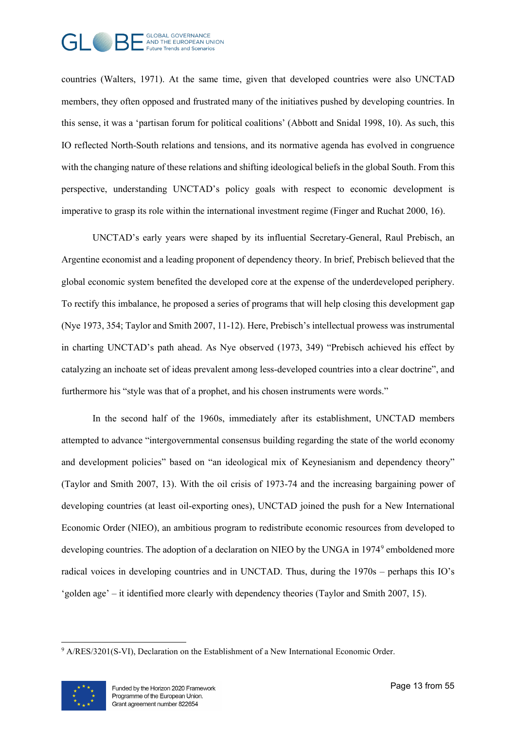

countries (Walters, 1971). At the same time, given that developed countries were also UNCTAD members, they often opposed and frustrated many of the initiatives pushed by developing countries. In this sense, it was a 'partisan forum for political coalitions' (Abbott and Snidal 1998, 10). As such, this IO reflected North-South relations and tensions, and its normative agenda has evolved in congruence with the changing nature of these relations and shifting ideological beliefs in the global South. From this perspective, understanding UNCTAD's policy goals with respect to economic development is imperative to grasp its role within the international investment regime (Finger and Ruchat 2000, 16).

UNCTAD's early years were shaped by its influential Secretary-General, Raul Prebisch, an Argentine economist and a leading proponent of dependency theory. In brief, Prebisch believed that the global economic system benefited the developed core at the expense of the underdeveloped periphery. To rectify this imbalance, he proposed a series of programs that will help closing this development gap (Nye 1973, 354; Taylor and Smith 2007, 11-12). Here, Prebisch's intellectual prowess was instrumental in charting UNCTAD's path ahead. As Nye observed (1973, 349) "Prebisch achieved his effect by catalyzing an inchoate set of ideas prevalent among less-developed countries into a clear doctrine", and furthermore his "style was that of a prophet, and his chosen instruments were words."

In the second half of the 1960s, immediately after its establishment, UNCTAD members attempted to advance "intergovernmental consensus building regarding the state of the world economy and development policies" based on "an ideological mix of Keynesianism and dependency theory" (Taylor and Smith 2007, 13). With the oil crisis of 1973-74 and the increasing bargaining power of developing countries (at least oil-exporting ones), UNCTAD joined the push for a New International Economic Order (NIEO), an ambitious program to redistribute economic resources from developed to developing countries. The adoption of a declaration on NIEO by the UNGA in 1[9](#page-12-0)74<sup>9</sup> emboldened more radical voices in developing countries and in UNCTAD. Thus, during the 1970s – perhaps this IO's 'golden age' – it identified more clearly with dependency theories (Taylor and Smith 2007, 15).

<span id="page-12-0"></span><sup>&</sup>lt;sup>9</sup> A/RES/3201(S-VI), Declaration on the Establishment of a New International Economic Order.

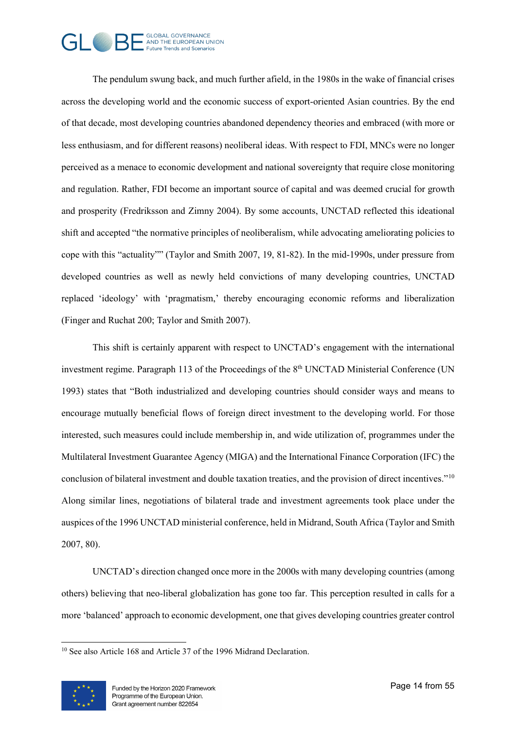## GLOBAL GOVERNANCE<br>- AND THE EUROPEAN UNION uture Trends and Scenarios

The pendulum swung back, and much further afield, in the 1980s in the wake of financial crises across the developing world and the economic success of export-oriented Asian countries. By the end of that decade, most developing countries abandoned dependency theories and embraced (with more or less enthusiasm, and for different reasons) neoliberal ideas. With respect to FDI, MNCs were no longer perceived as a menace to economic development and national sovereignty that require close monitoring and regulation. Rather, FDI become an important source of capital and was deemed crucial for growth and prosperity (Fredriksson and Zimny 2004). By some accounts, UNCTAD reflected this ideational shift and accepted "the normative principles of neoliberalism, while advocating ameliorating policies to cope with this "actuality"" (Taylor and Smith 2007, 19, 81-82). In the mid-1990s, under pressure from developed countries as well as newly held convictions of many developing countries, UNCTAD replaced 'ideology' with 'pragmatism,' thereby encouraging economic reforms and liberalization (Finger and Ruchat 200; Taylor and Smith 2007).

This shift is certainly apparent with respect to UNCTAD's engagement with the international investment regime. Paragraph 113 of the Proceedings of the 8<sup>th</sup> UNCTAD Ministerial Conference (UN 1993) states that "Both industrialized and developing countries should consider ways and means to encourage mutually beneficial flows of foreign direct investment to the developing world. For those interested, such measures could include membership in, and wide utilization of, programmes under the Multilateral Investment Guarantee Agency (MIGA) and the International Finance Corporation (IFC) the conclusion of bilateral investment and double taxation treaties, and the provision of direct incentives."[10](#page-13-0) Along similar lines, negotiations of bilateral trade and investment agreements took place under the auspices of the 1996 UNCTAD ministerial conference, held in Midrand, South Africa (Taylor and Smith 2007, 80).

UNCTAD's direction changed once more in the 2000s with many developing countries (among others) believing that neo-liberal globalization has gone too far. This perception resulted in calls for a more 'balanced' approach to economic development, one that gives developing countries greater control

<span id="page-13-0"></span><sup>&</sup>lt;sup>10</sup> See also Article 168 and Article 37 of the 1996 Midrand Declaration.

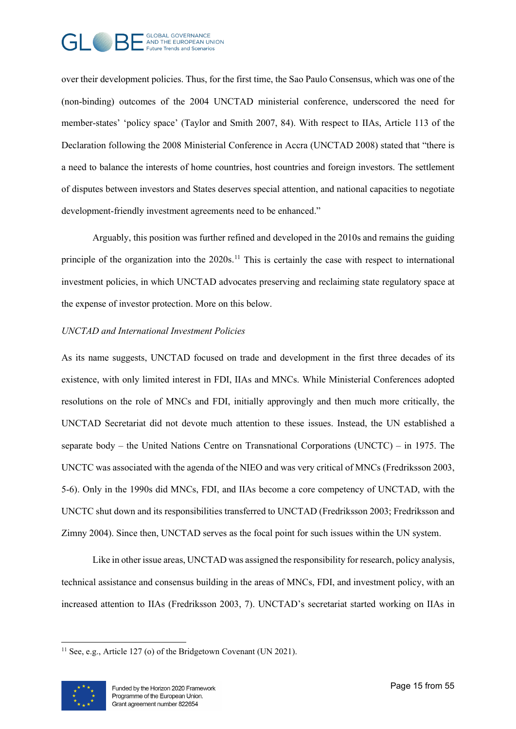

over their development policies. Thus, for the first time, the Sao Paulo Consensus, which was one of the (non-binding) outcomes of the 2004 UNCTAD ministerial conference, underscored the need for member-states' 'policy space' (Taylor and Smith 2007, 84). With respect to IIAs, Article 113 of the Declaration following the 2008 Ministerial Conference in Accra (UNCTAD 2008) stated that "there is a need to balance the interests of home countries, host countries and foreign investors. The settlement of disputes between investors and States deserves special attention, and national capacities to negotiate development-friendly investment agreements need to be enhanced."

Arguably, this position was further refined and developed in the 2010s and remains the guiding principle of the organization into the 2020s.<sup>[11](#page-14-0)</sup> This is certainly the case with respect to international investment policies, in which UNCTAD advocates preserving and reclaiming state regulatory space at the expense of investor protection. More on this below.

#### *UNCTAD and International Investment Policies*

As its name suggests, UNCTAD focused on trade and development in the first three decades of its existence, with only limited interest in FDI, IIAs and MNCs. While Ministerial Conferences adopted resolutions on the role of MNCs and FDI, initially approvingly and then much more critically, the UNCTAD Secretariat did not devote much attention to these issues. Instead, the UN established a separate body – the United Nations Centre on Transnational Corporations (UNCTC) – in 1975. The UNCTC was associated with the agenda of the NIEO and was very critical of MNCs (Fredriksson 2003, 5-6). Only in the 1990s did MNCs, FDI, and IIAs become a core competency of UNCTAD, with the UNCTC shut down and its responsibilities transferred to UNCTAD (Fredriksson 2003; Fredriksson and Zimny 2004). Since then, UNCTAD serves as the focal point for such issues within the UN system.

Like in other issue areas, UNCTAD was assigned the responsibility for research, policy analysis, technical assistance and consensus building in the areas of MNCs, FDI, and investment policy, with an increased attention to IIAs (Fredriksson 2003, 7). UNCTAD's secretariat started working on IIAs in

<span id="page-14-0"></span><sup>&</sup>lt;sup>11</sup> See, e.g., Article 127 (o) of the Bridgetown Covenant (UN 2021).

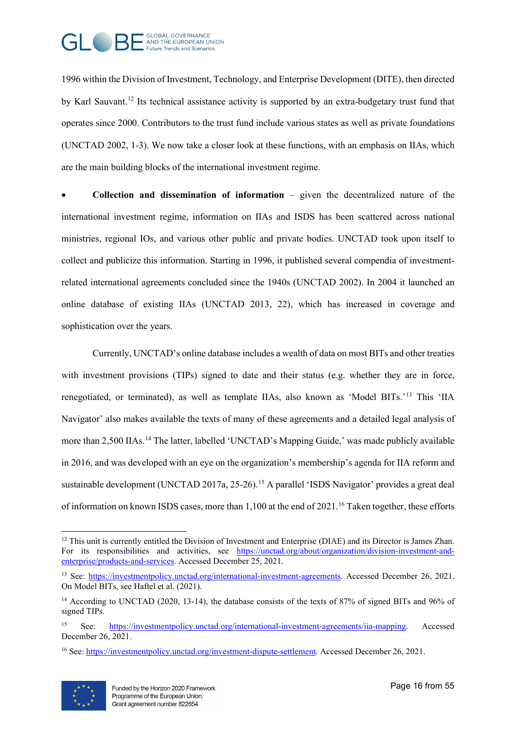

1996 within the Division of Investment, Technology, and Enterprise Development (DITE), then directed by Karl Sauvant.[12](#page-15-0) Its technical assistance activity is supported by an extra-budgetary trust fund that operates since 2000. Contributors to the trust fund include various states as well as private foundations (UNCTAD 2002, 1-3). We now take a closer look at these functions, with an emphasis on IIAs, which are the main building blocks of the international investment regime.

• **Collection and dissemination of information** – given the decentralized nature of the international investment regime, information on IIAs and ISDS has been scattered across national ministries, regional IOs, and various other public and private bodies. UNCTAD took upon itself to collect and publicize this information. Starting in 1996, it published several compendia of investmentrelated international agreements concluded since the 1940s (UNCTAD 2002). In 2004 it launched an online database of existing IIAs (UNCTAD 2013, 22), which has increased in coverage and sophistication over the years.

Currently, UNCTAD's online database includes a wealth of data on most BITs and other treaties with investment provisions (TIPs) signed to date and their status (e.g. whether they are in force, renegotiated, or terminated), as well as template IIAs, also known as 'Model BITs.'[13](#page-15-1) This 'IIA Navigator' also makes available the texts of many of these agreements and a detailed legal analysis of more than 2,500 IIAs.<sup>[14](#page-15-2)</sup> The latter, labelled 'UNCTAD's Mapping Guide,' was made publicly available in 2016, and was developed with an eye on the organization's membership's agenda for IIA reform and sustainable development (UNCTAD 2017a, 25-26).<sup>[15](#page-15-3)</sup> A parallel 'ISDS Navigator' provides a great deal of information on known ISDS cases, more than 1,100 at the end of 2021.<sup>[16](#page-15-4)</sup> Taken together, these efforts

<span id="page-15-4"></span><sup>16</sup> See[: https://investmentpolicy.unctad.org/investment-dispute-settlement.](https://investmentpolicy.unctad.org/investment-dispute-settlement) Accessed December 26, 2021.



<span id="page-15-0"></span> $12$  This unit is currently entitled the Division of Investment and Enterprise (DIAE) and its Director is James Zhan. For its responsibilities and activities, see [https://unctad.org/about/organization/division-investment-and](https://unctad.org/about/organization/division-investment-and-enterprise/products-and-services)[enterprise/products-and-services.](https://unctad.org/about/organization/division-investment-and-enterprise/products-and-services) Accessed December 25, 2021.

<span id="page-15-1"></span><sup>&</sup>lt;sup>13</sup> See: [https://investmentpolicy.unctad.org/international-investment-agreements.](https://investmentpolicy.unctad.org/international-investment-agreements) Accessed December 26, 2021. On Model BITs, see Haftel et al. (2021).

<span id="page-15-2"></span><sup>&</sup>lt;sup>14</sup> According to UNCTAD (2020, 13-14), the database consists of the texts of 87% of signed BITs and 96% of signed TIPs.

<span id="page-15-3"></span><sup>15</sup> See: [https://investmentpolicy.unctad.org/international-investment-agreements/iia-mapping.](https://investmentpolicy.unctad.org/international-investment-agreements/iia-mapping) Accessed December 26, 2021.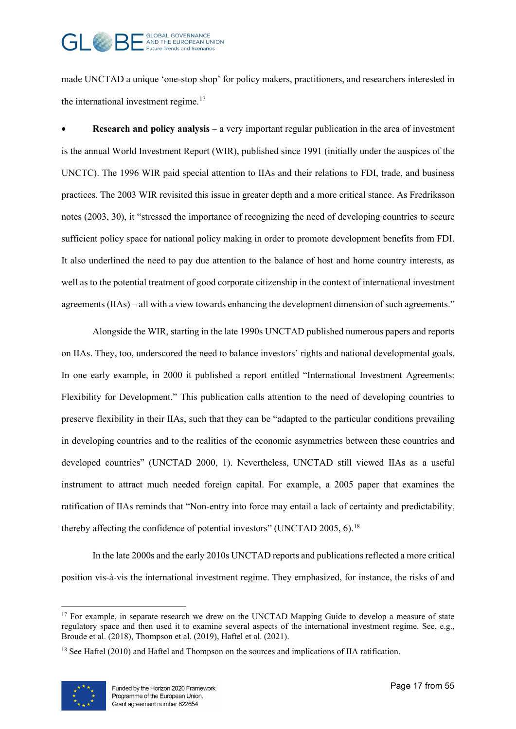

made UNCTAD a unique 'one-stop shop' for policy makers, practitioners, and researchers interested in the international investment regime.<sup>[17](#page-16-0)</sup>

• **Research and policy analysis** – a very important regular publication in the area of investment is the annual World Investment Report (WIR), published since 1991 (initially under the auspices of the UNCTC). The 1996 WIR paid special attention to IIAs and their relations to FDI, trade, and business practices. The 2003 WIR revisited this issue in greater depth and a more critical stance. As Fredriksson notes (2003, 30), it "stressed the importance of recognizing the need of developing countries to secure sufficient policy space for national policy making in order to promote development benefits from FDI. It also underlined the need to pay due attention to the balance of host and home country interests, as well as to the potential treatment of good corporate citizenship in the context of international investment agreements (IIAs) – all with a view towards enhancing the development dimension of such agreements."

Alongside the WIR, starting in the late 1990s UNCTAD published numerous papers and reports on IIAs. They, too, underscored the need to balance investors' rights and national developmental goals. In one early example, in 2000 it published a report entitled "International Investment Agreements: Flexibility for Development." This publication calls attention to the need of developing countries to preserve flexibility in their IIAs, such that they can be "adapted to the particular conditions prevailing in developing countries and to the realities of the economic asymmetries between these countries and developed countries" (UNCTAD 2000, 1). Nevertheless, UNCTAD still viewed IIAs as a useful instrument to attract much needed foreign capital. For example, a 2005 paper that examines the ratification of IIAs reminds that "Non-entry into force may entail a lack of certainty and predictability, thereby affecting the confidence of potential investors" (UNCTAD 2005, 6).<sup>18</sup>

In the late 2000s and the early 2010s UNCTAD reports and publications reflected a more critical position vis-à-vis the international investment regime. They emphasized, for instance, the risks of and

<span id="page-16-1"></span><sup>&</sup>lt;sup>18</sup> See Haftel (2010) and Haftel and Thompson on the sources and implications of IIA ratification.



<span id="page-16-0"></span><sup>&</sup>lt;sup>17</sup> For example, in separate research we drew on the UNCTAD Mapping Guide to develop a measure of state regulatory space and then used it to examine several aspects of the international investment regime. See, e.g., Broude et al. (2018), Thompson et al. (2019), Haftel et al. (2021).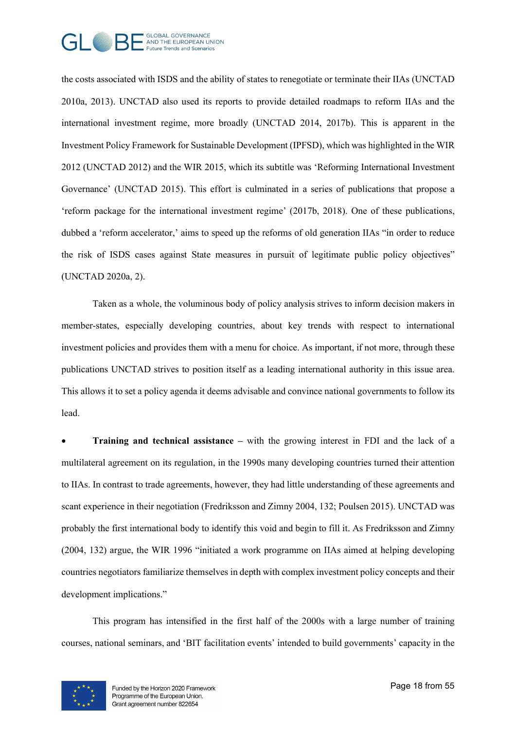

the costs associated with ISDS and the ability of states to renegotiate or terminate their IIAs (UNCTAD 2010a, 2013). UNCTAD also used its reports to provide detailed roadmaps to reform IIAs and the international investment regime, more broadly (UNCTAD 2014, 2017b). This is apparent in the Investment Policy Framework for Sustainable Development (IPFSD), which was highlighted in the WIR 2012 (UNCTAD 2012) and the WIR 2015, which its subtitle was 'Reforming International Investment Governance' (UNCTAD 2015). This effort is culminated in a series of publications that propose a 'reform package for the international investment regime' (2017b, 2018). One of these publications, dubbed a 'reform accelerator,' aims to speed up the reforms of old generation IIAs "in order to reduce the risk of ISDS cases against State measures in pursuit of legitimate public policy objectives" (UNCTAD 2020a, 2).

Taken as a whole, the voluminous body of policy analysis strives to inform decision makers in member-states, especially developing countries, about key trends with respect to international investment policies and provides them with a menu for choice. As important, if not more, through these publications UNCTAD strives to position itself as a leading international authority in this issue area. This allows it to set a policy agenda it deems advisable and convince national governments to follow its lead.

• **Training and technical assistance –** with the growing interest in FDI and the lack of a multilateral agreement on its regulation, in the 1990s many developing countries turned their attention to IIAs. In contrast to trade agreements, however, they had little understanding of these agreements and scant experience in their negotiation (Fredriksson and Zimny 2004, 132; Poulsen 2015). UNCTAD was probably the first international body to identify this void and begin to fill it. As Fredriksson and Zimny (2004, 132) argue, the WIR 1996 "initiated a work programme on IIAs aimed at helping developing countries negotiators familiarize themselves in depth with complex investment policy concepts and their development implications."

This program has intensified in the first half of the 2000s with a large number of training courses, national seminars, and 'BIT facilitation events' intended to build governments' capacity in the

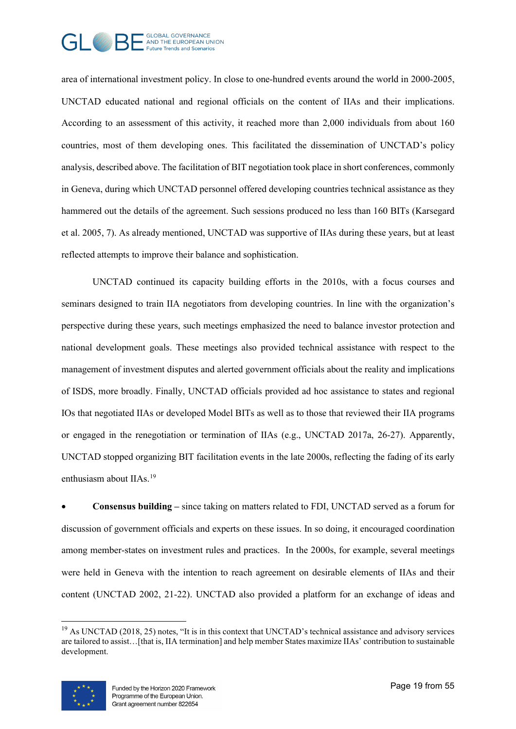

area of international investment policy. In close to one-hundred events around the world in 2000-2005, UNCTAD educated national and regional officials on the content of IIAs and their implications. According to an assessment of this activity, it reached more than 2,000 individuals from about 160 countries, most of them developing ones. This facilitated the dissemination of UNCTAD's policy analysis, described above. The facilitation of BIT negotiation took place in short conferences, commonly in Geneva, during which UNCTAD personnel offered developing countries technical assistance as they hammered out the details of the agreement. Such sessions produced no less than 160 BITs (Karsegard et al. 2005, 7). As already mentioned, UNCTAD was supportive of IIAs during these years, but at least reflected attempts to improve their balance and sophistication.

UNCTAD continued its capacity building efforts in the 2010s, with a focus courses and seminars designed to train IIA negotiators from developing countries. In line with the organization's perspective during these years, such meetings emphasized the need to balance investor protection and national development goals. These meetings also provided technical assistance with respect to the management of investment disputes and alerted government officials about the reality and implications of ISDS, more broadly. Finally, UNCTAD officials provided ad hoc assistance to states and regional IOs that negotiated IIAs or developed Model BITs as well as to those that reviewed their IIA programs or engaged in the renegotiation or termination of IIAs (e.g., UNCTAD 2017a, 26-27). Apparently, UNCTAD stopped organizing BIT facilitation events in the late 2000s, reflecting the fading of its early enthusiasm about IIAs.<sup>[19](#page-18-0)</sup>

• **Consensus building –** since taking on matters related to FDI, UNCTAD served as a forum for discussion of government officials and experts on these issues. In so doing, it encouraged coordination among member-states on investment rules and practices. In the 2000s, for example, several meetings were held in Geneva with the intention to reach agreement on desirable elements of IIAs and their content (UNCTAD 2002, 21-22). UNCTAD also provided a platform for an exchange of ideas and

<span id="page-18-0"></span><sup>&</sup>lt;sup>19</sup> As UNCTAD (2018, 25) notes, "It is in this context that UNCTAD's technical assistance and advisory services are tailored to assist…[that is, IIA termination] and help member States maximize IIAs' contribution to sustainable development.

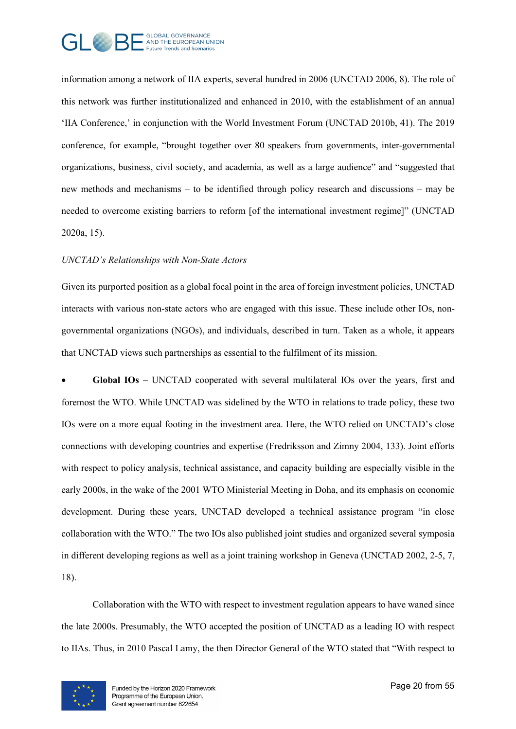

information among a network of IIA experts, several hundred in 2006 (UNCTAD 2006, 8). The role of this network was further institutionalized and enhanced in 2010, with the establishment of an annual 'IIA Conference,' in conjunction with the World Investment Forum (UNCTAD 2010b, 41). The 2019 conference, for example, "brought together over 80 speakers from governments, inter-governmental organizations, business, civil society, and academia, as well as a large audience" and "suggested that new methods and mechanisms – to be identified through policy research and discussions – may be needed to overcome existing barriers to reform [of the international investment regime]" (UNCTAD 2020a, 15).

#### *UNCTAD's Relationships with Non-State Actors*

Given its purported position as a global focal point in the area of foreign investment policies, UNCTAD interacts with various non-state actors who are engaged with this issue. These include other IOs, nongovernmental organizations (NGOs), and individuals, described in turn. Taken as a whole, it appears that UNCTAD views such partnerships as essential to the fulfilment of its mission.

• **Global IOs –** UNCTAD cooperated with several multilateral IOs over the years, first and foremost the WTO. While UNCTAD was sidelined by the WTO in relations to trade policy, these two IOs were on a more equal footing in the investment area. Here, the WTO relied on UNCTAD's close connections with developing countries and expertise (Fredriksson and Zimny 2004, 133). Joint efforts with respect to policy analysis, technical assistance, and capacity building are especially visible in the early 2000s, in the wake of the 2001 WTO Ministerial Meeting in Doha, and its emphasis on economic development. During these years, UNCTAD developed a technical assistance program "in close collaboration with the WTO." The two IOs also published joint studies and organized several symposia in different developing regions as well as a joint training workshop in Geneva (UNCTAD 2002, 2-5, 7, 18).

Collaboration with the WTO with respect to investment regulation appears to have waned since the late 2000s. Presumably, the WTO accepted the position of UNCTAD as a leading IO with respect to IIAs. Thus, in 2010 Pascal Lamy, the then Director General of the WTO stated that "With respect to

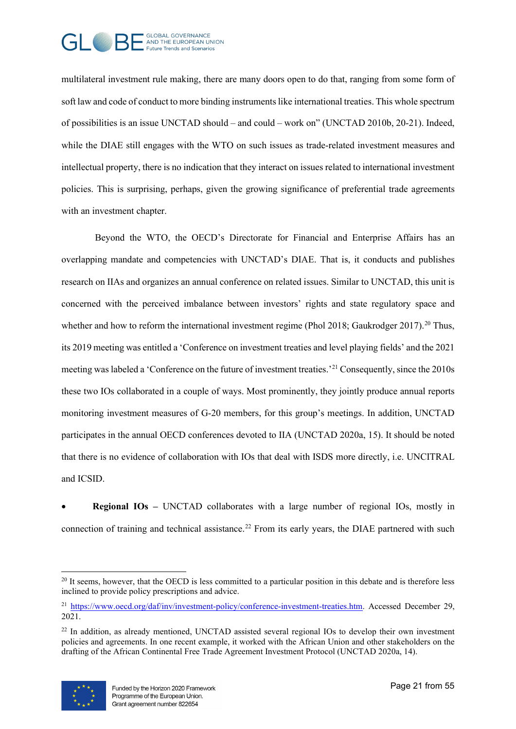

multilateral investment rule making, there are many doors open to do that, ranging from some form of soft law and code of conduct to more binding instruments like international treaties. This whole spectrum of possibilities is an issue UNCTAD should – and could – work on" (UNCTAD 2010b, 20-21). Indeed, while the DIAE still engages with the WTO on such issues as trade-related investment measures and intellectual property, there is no indication that they interact on issues related to international investment policies. This is surprising, perhaps, given the growing significance of preferential trade agreements with an investment chapter.

Beyond the WTO, the OECD's Directorate for Financial and Enterprise Affairs has an overlapping mandate and competencies with UNCTAD's DIAE. That is, it conducts and publishes research on IIAs and organizes an annual conference on related issues. Similar to UNCTAD, this unit is concerned with the perceived imbalance between investors' rights and state regulatory space and whether and how to reform the international investment regime (Phol [20](#page-20-0)18; Gaukrodger 2017).<sup>20</sup> Thus, its 2019 meeting was entitled a 'Conference on investment treaties and level playing fields' and the 2021 meeting was labeled a 'Conference on the future of investment treaties.'[21](#page-20-1) Consequently, since the 2010s these two IOs collaborated in a couple of ways. Most prominently, they jointly produce annual reports monitoring investment measures of G-20 members, for this group's meetings. In addition, UNCTAD participates in the annual OECD conferences devoted to IIA (UNCTAD 2020a, 15). It should be noted that there is no evidence of collaboration with IOs that deal with ISDS more directly, i.e. UNCITRAL and ICSID.

**Regional IOs –** UNCTAD collaborates with a large number of regional IOs, mostly in connection of training and technical assistance.<sup>[22](#page-20-2)</sup> From its early years, the DIAE partnered with such

<span id="page-20-2"></span> $^{22}$  In addition, as already mentioned, UNCTAD assisted several regional IOs to develop their own investment policies and agreements. In one recent example, it worked with the African Union and other stakeholders on the drafting of the African Continental Free Trade Agreement Investment Protocol (UNCTAD 2020a, 14).



<span id="page-20-0"></span><sup>&</sup>lt;sup>20</sup> It seems, however, that the OECD is less committed to a particular position in this debate and is therefore less inclined to provide policy prescriptions and advice.

<span id="page-20-1"></span><sup>&</sup>lt;sup>21</sup> [https://www.oecd.org/daf/inv/investment-policy/conference-investment-treaties.htm.](https://www.oecd.org/daf/inv/investment-policy/conference-investment-treaties.htm) Accessed December 29, 2021.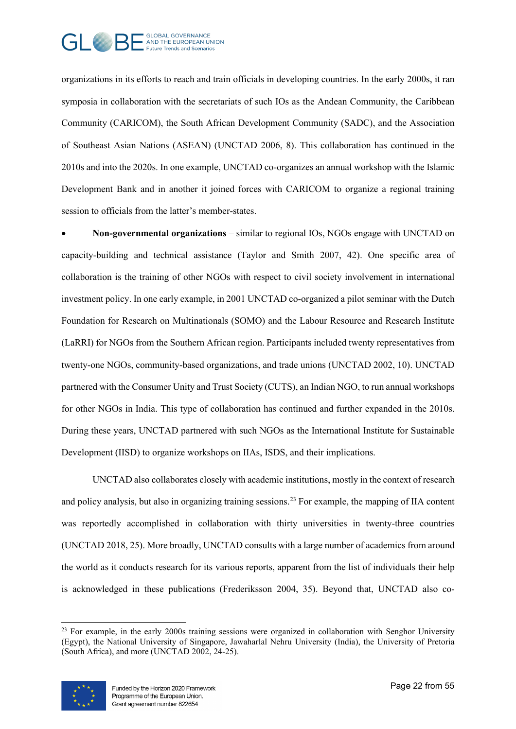

organizations in its efforts to reach and train officials in developing countries. In the early 2000s, it ran symposia in collaboration with the secretariats of such IOs as the Andean Community, the Caribbean Community (CARICOM), the South African Development Community (SADC), and the Association of Southeast Asian Nations (ASEAN) (UNCTAD 2006, 8). This collaboration has continued in the 2010s and into the 2020s. In one example, UNCTAD co-organizes an annual workshop with the Islamic Development Bank and in another it joined forces with CARICOM to organize a regional training session to officials from the latter's member-states.

• **Non-governmental organizations** – similar to regional IOs, NGOs engage with UNCTAD on capacity-building and technical assistance (Taylor and Smith 2007, 42). One specific area of collaboration is the training of other NGOs with respect to civil society involvement in international investment policy. In one early example, in 2001 UNCTAD co-organized a pilot seminar with the Dutch Foundation for Research on Multinationals (SOMO) and the Labour Resource and Research Institute (LaRRI) for NGOs from the Southern African region. Participants included twenty representatives from twenty-one NGOs, community-based organizations, and trade unions (UNCTAD 2002, 10). UNCTAD partnered with the Consumer Unity and Trust Society (CUTS), an Indian NGO, to run annual workshops for other NGOs in India. This type of collaboration has continued and further expanded in the 2010s. During these years, UNCTAD partnered with such NGOs as the International Institute for Sustainable Development (IISD) to organize workshops on IIAs, ISDS, and their implications.

UNCTAD also collaborates closely with academic institutions, mostly in the context of research and policy analysis, but also in organizing training sessions.<sup>[23](#page-21-0)</sup> For example, the mapping of IIA content was reportedly accomplished in collaboration with thirty universities in twenty-three countries (UNCTAD 2018, 25). More broadly, UNCTAD consults with a large number of academics from around the world as it conducts research for its various reports, apparent from the list of individuals their help is acknowledged in these publications (Frederiksson 2004, 35). Beyond that, UNCTAD also co-

<span id="page-21-0"></span> $^{23}$  For example, in the early 2000s training sessions were organized in collaboration with Senghor University (Egypt), the National University of Singapore, Jawaharlal Nehru University (India), the University of Pretoria (South Africa), and more (UNCTAD 2002, 24-25).

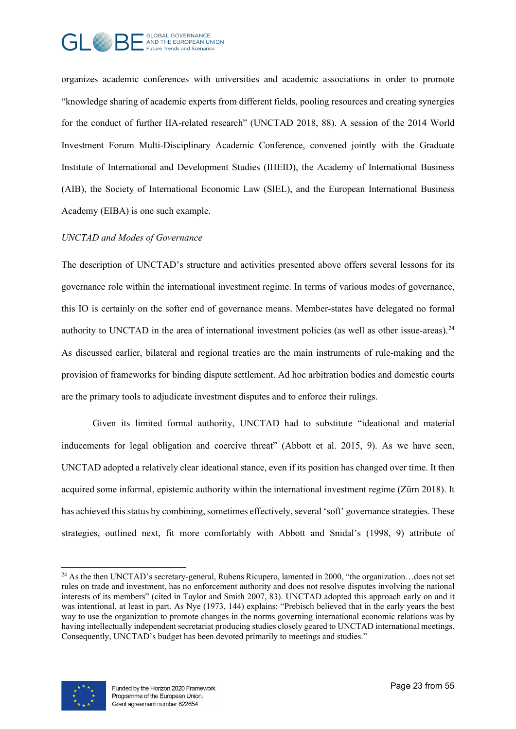

organizes academic conferences with universities and academic associations in order to promote "knowledge sharing of academic experts from different fields, pooling resources and creating synergies for the conduct of further IIA-related research" (UNCTAD 2018, 88). A session of the 2014 World Investment Forum Multi-Disciplinary Academic Conference, convened jointly with the Graduate Institute of International and Development Studies (IHEID), the Academy of International Business (AIB), the Society of International Economic Law (SIEL), and the European International Business Academy (EIBA) is one such example.

#### *UNCTAD and Modes of Governance*

The description of UNCTAD's structure and activities presented above offers several lessons for its governance role within the international investment regime. In terms of various modes of governance, this IO is certainly on the softer end of governance means. Member-states have delegated no formal authority to UNCTAD in the area of international investment policies (as well as other issue-areas).  $24$ As discussed earlier, bilateral and regional treaties are the main instruments of rule-making and the provision of frameworks for binding dispute settlement. Ad hoc arbitration bodies and domestic courts are the primary tools to adjudicate investment disputes and to enforce their rulings.

Given its limited formal authority, UNCTAD had to substitute "ideational and material inducements for legal obligation and coercive threat" (Abbott et al. 2015, 9). As we have seen, UNCTAD adopted a relatively clear ideational stance, even if its position has changed over time. It then acquired some informal, epistemic authority within the international investment regime (Zürn 2018). It has achieved this status by combining, sometimes effectively, several 'soft' governance strategies. These strategies, outlined next, fit more comfortably with Abbott and Snidal's (1998, 9) attribute of



<span id="page-22-0"></span><sup>&</sup>lt;sup>24</sup> As the then UNCTAD's secretary-general, Rubens Ricupero, lamented in 2000, "the organization...does not set rules on trade and investment, has no enforcement authority and does not resolve disputes involving the national interests of its members" (cited in Taylor and Smith 2007, 83). UNCTAD adopted this approach early on and it was intentional, at least in part. As Nye (1973, 144) explains: "Prebisch believed that in the early years the best way to use the organization to promote changes in the norms governing international economic relations was by having intellectually independent secretariat producing studies closely geared to UNCTAD international meetings. Consequently, UNCTAD's budget has been devoted primarily to meetings and studies."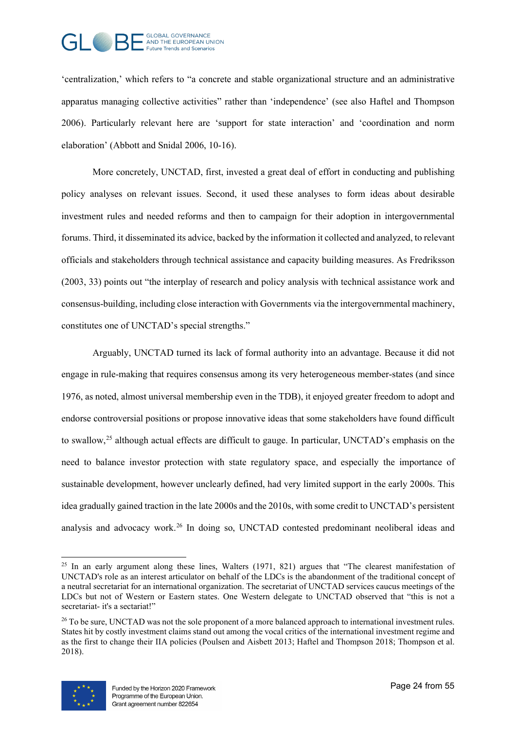

'centralization,' which refers to "a concrete and stable organizational structure and an administrative apparatus managing collective activities" rather than 'independence' (see also Haftel and Thompson 2006). Particularly relevant here are 'support for state interaction' and 'coordination and norm elaboration' (Abbott and Snidal 2006, 10-16).

More concretely, UNCTAD, first, invested a great deal of effort in conducting and publishing policy analyses on relevant issues. Second, it used these analyses to form ideas about desirable investment rules and needed reforms and then to campaign for their adoption in intergovernmental forums. Third, it disseminated its advice, backed by the information it collected and analyzed, to relevant officials and stakeholders through technical assistance and capacity building measures. As Fredriksson (2003, 33) points out "the interplay of research and policy analysis with technical assistance work and consensus-building, including close interaction with Governments via the intergovernmental machinery, constitutes one of UNCTAD's special strengths."

Arguably, UNCTAD turned its lack of formal authority into an advantage. Because it did not engage in rule-making that requires consensus among its very heterogeneous member-states (and since 1976, as noted, almost universal membership even in the TDB), it enjoyed greater freedom to adopt and endorse controversial positions or propose innovative ideas that some stakeholders have found difficult to swallow,<sup>[25](#page-23-0)</sup> although actual effects are difficult to gauge. In particular, UNCTAD's emphasis on the need to balance investor protection with state regulatory space, and especially the importance of sustainable development, however unclearly defined, had very limited support in the early 2000s. This idea gradually gained traction in the late 2000s and the 2010s, with some credit to UNCTAD's persistent analysis and advocacy work.<sup>[26](#page-23-1)</sup> In doing so, UNCTAD contested predominant neoliberal ideas and

<span id="page-23-1"></span><sup>&</sup>lt;sup>26</sup> To be sure, UNCTAD was not the sole proponent of a more balanced approach to international investment rules. States hit by costly investment claims stand out among the vocal critics of the international investment regime and as the first to change their IIA policies (Poulsen and Aisbett 2013; Haftel and Thompson 2018; Thompson et al. 2018).



<span id="page-23-0"></span><sup>&</sup>lt;sup>25</sup> In an early argument along these lines, Walters (1971, 821) argues that "The clearest manifestation of UNCTAD's role as an interest articulator on behalf of the LDCs is the abandonment of the traditional concept of a neutral secretariat for an international organization. The secretariat of UNCTAD services caucus meetings of the LDCs but not of Western or Eastern states. One Western delegate to UNCTAD observed that "this is not a secretariat- it's a sectariat!"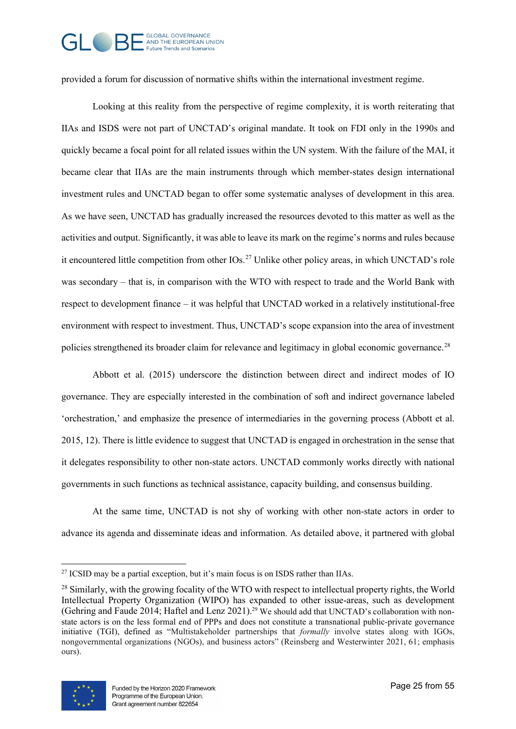# GOBAL GOVERNANCE Future Trends and Scenarios

provided a forum for discussion of normative shifts within the international investment regime.

Looking at this reality from the perspective of regime complexity, it is worth reiterating that IIAs and ISDS were not part of UNCTAD's original mandate. It took on FDI only in the 1990s and quickly became a focal point for all related issues within the UN system. With the failure of the MAI, it became clear that IIAs are the main instruments through which member-states design international investment rules and UNCTAD began to offer some systematic analyses of development in this area. As we have seen, UNCTAD has gradually increased the resources devoted to this matter as well as the activities and output. Significantly, it was able to leave its mark on the regime's norms and rules because it encountered little competition from other IOs.<sup>[27](#page-24-0)</sup> Unlike other policy areas, in which UNCTAD's role was secondary – that is, in comparison with the WTO with respect to trade and the World Bank with respect to development finance – it was helpful that UNCTAD worked in a relatively institutional-free environment with respect to investment. Thus, UNCTAD's scope expansion into the area of investment policies strengthened its broader claim for relevance and legitimacy in global economic governance.[28](#page-24-1)

Abbott et al. (2015) underscore the distinction between direct and indirect modes of IO governance. They are especially interested in the combination of soft and indirect governance labeled 'orchestration,' and emphasize the presence of intermediaries in the governing process (Abbott et al. 2015, 12). There is little evidence to suggest that UNCTAD is engaged in orchestration in the sense that it delegates responsibility to other non-state actors. UNCTAD commonly works directly with national governments in such functions as technical assistance, capacity building, and consensus building.

At the same time, UNCTAD is not shy of working with other non-state actors in order to advance its agenda and disseminate ideas and information. As detailed above, it partnered with global

<span id="page-24-1"></span><span id="page-24-0"></span><sup>&</sup>lt;sup>28</sup> Similarly, with the growing focality of the WTO with respect to intellectual property rights, the World Intellectual Property Organization (WIPO) has expanded to other issue-areas, such as development (Gehring and Faude 2014; Haftel and Lenz 2021).<sup>29</sup> We should add that UNCTAD's collaboration with nonstate actors is on the less formal end of PPPs and does not constitute a transnational public-private governance initiative (TGI), defined as "Multistakeholder partnerships that *formally* involve states along with IGOs, nongovernmental organizations (NGOs), and business actors" (Reinsberg and Westerwinter 2021, 61; emphasis ours).



 $27$  ICSID may be a partial exception, but it's main focus is on ISDS rather than IIAs.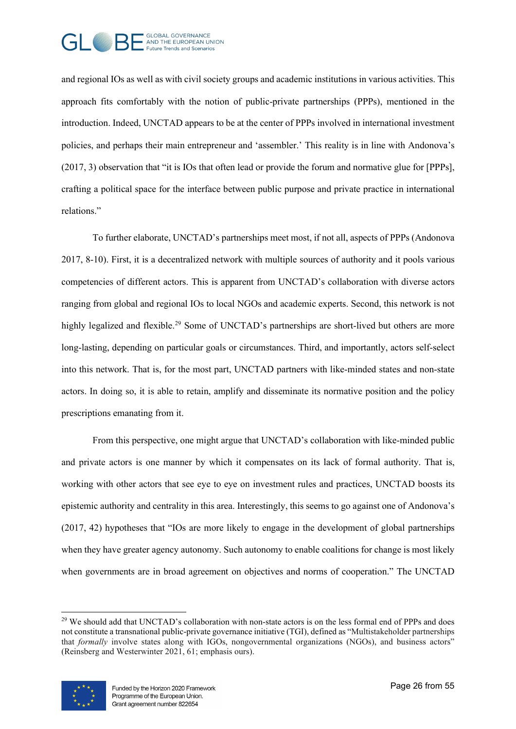

and regional IOs as well as with civil society groups and academic institutions in various activities. This approach fits comfortably with the notion of public-private partnerships (PPPs), mentioned in the introduction. Indeed, UNCTAD appears to be at the center of PPPs involved in international investment policies, and perhaps their main entrepreneur and 'assembler.' This reality is in line with Andonova's (2017, 3) observation that "it is IOs that often lead or provide the forum and normative glue for [PPPs], crafting a political space for the interface between public purpose and private practice in international relations."

To further elaborate, UNCTAD's partnerships meet most, if not all, aspects of PPPs (Andonova 2017, 8-10). First, it is a decentralized network with multiple sources of authority and it pools various competencies of different actors. This is apparent from UNCTAD's collaboration with diverse actors ranging from global and regional IOs to local NGOs and academic experts. Second, this network is not highly legalized and flexible.<sup>[29](#page-25-0)</sup> Some of UNCTAD's partnerships are short-lived but others are more long-lasting, depending on particular goals or circumstances. Third, and importantly, actors self-select into this network. That is, for the most part, UNCTAD partners with like-minded states and non-state actors. In doing so, it is able to retain, amplify and disseminate its normative position and the policy prescriptions emanating from it.

From this perspective, one might argue that UNCTAD's collaboration with like-minded public and private actors is one manner by which it compensates on its lack of formal authority. That is, working with other actors that see eye to eye on investment rules and practices, UNCTAD boosts its epistemic authority and centrality in this area. Interestingly, this seems to go against one of Andonova's (2017, 42) hypotheses that "IOs are more likely to engage in the development of global partnerships when they have greater agency autonomy. Such autonomy to enable coalitions for change is most likely when governments are in broad agreement on objectives and norms of cooperation." The UNCTAD

<span id="page-25-0"></span><sup>&</sup>lt;sup>29</sup> We should add that UNCTAD's collaboration with non-state actors is on the less formal end of PPPs and does not constitute a transnational public-private governance initiative (TGI), defined as "Multistakeholder partnerships that *formally* involve states along with IGOs, nongovernmental organizations (NGOs), and business actors" (Reinsberg and Westerwinter 2021, 61; emphasis ours).

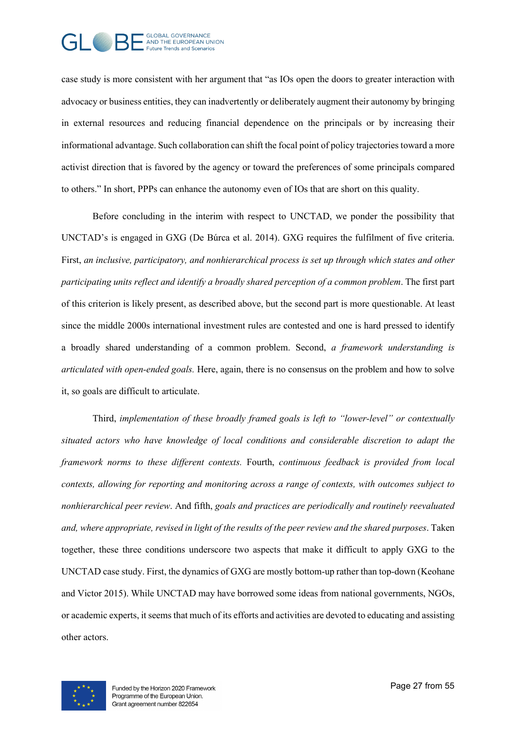

case study is more consistent with her argument that "as IOs open the doors to greater interaction with advocacy or business entities, they can inadvertently or deliberately augment their autonomy by bringing in external resources and reducing financial dependence on the principals or by increasing their informational advantage. Such collaboration can shift the focal point of policy trajectories toward a more activist direction that is favored by the agency or toward the preferences of some principals compared to others." In short, PPPs can enhance the autonomy even of IOs that are short on this quality.

Before concluding in the interim with respect to UNCTAD, we ponder the possibility that UNCTAD's is engaged in GXG (De Búrca et al. 2014). GXG requires the fulfilment of five criteria. First, *an inclusive, participatory, and nonhierarchical process is set up through which states and other participating units reflect and identify a broadly shared perception of a common problem*. The first part of this criterion is likely present, as described above, but the second part is more questionable. At least since the middle 2000s international investment rules are contested and one is hard pressed to identify a broadly shared understanding of a common problem. Second, *a framework understanding is articulated with open-ended goals.* Here, again, there is no consensus on the problem and how to solve it, so goals are difficult to articulate.

Third, *implementation of these broadly framed goals is left to "lower-level" or contextually situated actors who have knowledge of local conditions and considerable discretion to adapt the framework norms to these different contexts.* Fourth, *continuous feedback is provided from local contexts, allowing for reporting and monitoring across a range of contexts, with outcomes subject to nonhierarchical peer review*. And fifth, *goals and practices are periodically and routinely reevaluated and, where appropriate, revised in light of the results of the peer review and the shared purposes*. Taken together, these three conditions underscore two aspects that make it difficult to apply GXG to the UNCTAD case study. First, the dynamics of GXG are mostly bottom-up rather than top-down (Keohane and Victor 2015). While UNCTAD may have borrowed some ideas from national governments, NGOs, or academic experts, it seems that much of its efforts and activities are devoted to educating and assisting other actors.

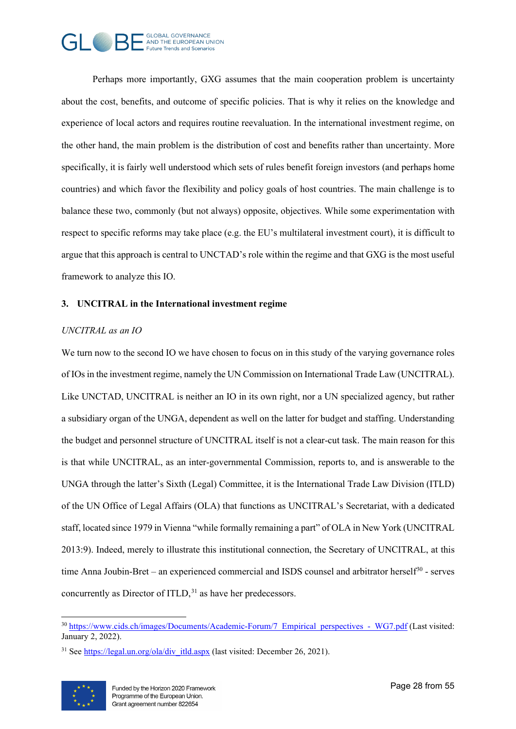

Perhaps more importantly, GXG assumes that the main cooperation problem is uncertainty about the cost, benefits, and outcome of specific policies. That is why it relies on the knowledge and experience of local actors and requires routine reevaluation. In the international investment regime, on the other hand, the main problem is the distribution of cost and benefits rather than uncertainty. More specifically, it is fairly well understood which sets of rules benefit foreign investors (and perhaps home countries) and which favor the flexibility and policy goals of host countries. The main challenge is to balance these two, commonly (but not always) opposite, objectives. While some experimentation with respect to specific reforms may take place (e.g. the EU's multilateral investment court), it is difficult to argue that this approach is central to UNCTAD's role within the regime and that GXG is the most useful framework to analyze this IO.

## **3. UNCITRAL in the International investment regime**

#### *UNCITRAL as an IO*

We turn now to the second IO we have chosen to focus on in this study of the varying governance roles of IOs in the investment regime, namely the UN Commission on International Trade Law (UNCITRAL). Like UNCTAD, UNCITRAL is neither an IO in its own right, nor a UN specialized agency, but rather a subsidiary organ of the UNGA, dependent as well on the latter for budget and staffing. Understanding the budget and personnel structure of UNCITRAL itself is not a clear-cut task. The main reason for this is that while UNCITRAL, as an inter-governmental Commission, reports to, and is answerable to the UNGA through the latter's Sixth (Legal) Committee, it is the International Trade Law Division (ITLD) of the UN Office of Legal Affairs (OLA) that functions as UNCITRAL's Secretariat, with a dedicated staff, located since 1979 in Vienna "while formally remaining a part" of OLA in New York (UNCITRAL 2013:9). Indeed, merely to illustrate this institutional connection, the Secretary of UNCITRAL, at this time Anna Joubin-Bret – an experienced commercial and ISDS counsel and arbitrator herself $30$  - serves concurrently as Director of  $ITLD$ ,  $31$  as have her predecessors.

<span id="page-27-1"></span> $31$  See https://legal.un.org/ola/div itld.aspx (last visited: December 26, 2021).



<span id="page-27-0"></span><sup>&</sup>lt;sup>30</sup> [https://www.cids.ch/images/Documents/Academic-Forum/7\\_Empirical\\_perspectives\\_-\\_WG7.pdf](https://www.cids.ch/images/Documents/Academic-Forum/7_Empirical_perspectives_-_WG7.pdf) (Last visited: January 2, 2022).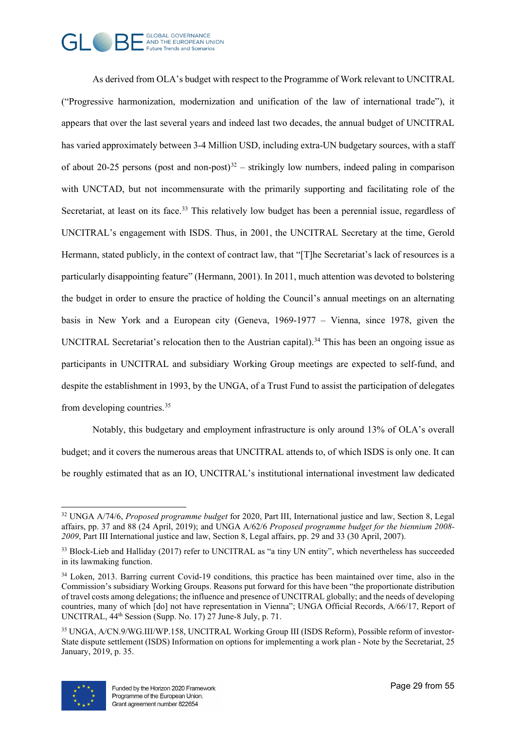

As derived from OLA's budget with respect to the Programme of Work relevant to UNCITRAL ("Progressive harmonization, modernization and unification of the law of international trade"), it appears that over the last several years and indeed last two decades, the annual budget of UNCITRAL has varied approximately between 3-4 Million USD, including extra-UN budgetary sources, with a staff of about 20-25 persons (post and non-post)<sup>[32](#page-28-0)</sup> – strikingly low numbers, indeed paling in comparison with UNCTAD, but not incommensurate with the primarily supporting and facilitating role of the Secretariat, at least on its face.<sup>[33](#page-28-1)</sup> This relatively low budget has been a perennial issue, regardless of UNCITRAL's engagement with ISDS. Thus, in 2001, the UNCITRAL Secretary at the time, Gerold Hermann, stated publicly, in the context of contract law, that "[T]he Secretariat's lack of resources is a particularly disappointing feature" (Hermann, 2001). In 2011, much attention was devoted to bolstering the budget in order to ensure the practice of holding the Council's annual meetings on an alternating basis in New York and a European city (Geneva, 1969-1977 – Vienna, since 1978, given the UNCITRAL Secretariat's relocation then to the Austrian capital).<sup>[34](#page-28-2)</sup> This has been an ongoing issue as participants in UNCITRAL and subsidiary Working Group meetings are expected to self-fund, and despite the establishment in 1993, by the UNGA, of a Trust Fund to assist the participation of delegates from developing countries.[35](#page-28-3)

Notably, this budgetary and employment infrastructure is only around 13% of OLA's overall budget; and it covers the numerous areas that UNCITRAL attends to, of which ISDS is only one. It can be roughly estimated that as an IO, UNCITRAL's institutional international investment law dedicated

<span id="page-28-3"></span><sup>35</sup> UNGA, A/CN.9/WG.III/WP.158, UNCITRAL Working Group III (ISDS Reform), Possible reform of investor-State dispute settlement (ISDS) Information on options for implementing a work plan - Note by the Secretariat, 25 January, 2019, p. 35.



<span id="page-28-0"></span><sup>32</sup> UNGA A/74/6, *Proposed programme budget* for 2020, Part III, International justice and law, Section 8, Legal affairs, pp. 37 and 88 (24 April, 2019); and UNGA A/62/6 *Proposed programme budget for the biennium 2008- 2009*, Part III International justice and law, Section 8, Legal affairs, pp. 29 and 33 (30 April, 2007).

<span id="page-28-1"></span><sup>&</sup>lt;sup>33</sup> Block-Lieb and Halliday (2017) refer to UNCITRAL as "a tiny UN entity", which nevertheless has succeeded in its lawmaking function.

<span id="page-28-2"></span><sup>&</sup>lt;sup>34</sup> Loken, 2013. Barring current Covid-19 conditions, this practice has been maintained over time, also in the Commission's subsidiary Working Groups. Reasons put forward for this have been "the proportionate distribution of travel costs among delegations; the influence and presence of UNCITRAL globally; and the needs of developing countries, many of which [do] not have representation in Vienna"; UNGA Official Records, A/66/17, Report of UNCITRAL, 44th Session (Supp. No. 17) 27 June-8 July, p. 71.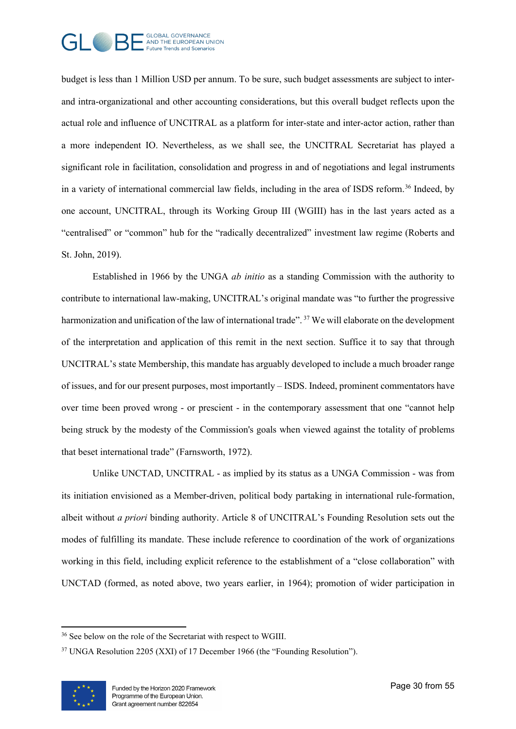

budget is less than 1 Million USD per annum. To be sure, such budget assessments are subject to interand intra-organizational and other accounting considerations, but this overall budget reflects upon the actual role and influence of UNCITRAL as a platform for inter-state and inter-actor action, rather than a more independent IO. Nevertheless, as we shall see, the UNCITRAL Secretariat has played a significant role in facilitation, consolidation and progress in and of negotiations and legal instruments in a variety of international commercial law fields, including in the area of ISDS reform.<sup>[36](#page-29-0)</sup> Indeed, by one account, UNCITRAL, through its Working Group III (WGIII) has in the last years acted as a "centralised" or "common" hub for the "radically decentralized" investment law regime (Roberts and St. John, 2019).

Established in 1966 by the UNGA *ab initio* as a standing Commission with the authority to contribute to international law-making, UNCITRAL's original mandate was "to further the progressive harmonization and unification of the law of international trade". <sup>[37](#page-29-1)</sup> We will elaborate on the development of the interpretation and application of this remit in the next section. Suffice it to say that through UNCITRAL's state Membership, this mandate has arguably developed to include a much broader range of issues, and for our present purposes, most importantly – ISDS. Indeed, prominent commentators have over time been proved wrong - or prescient - in the contemporary assessment that one "cannot help being struck by the modesty of the Commission's goals when viewed against the totality of problems that beset international trade" (Farnsworth, 1972).

Unlike UNCTAD, UNCITRAL - as implied by its status as a UNGA Commission - was from its initiation envisioned as a Member-driven, political body partaking in international rule-formation, albeit without *a priori* binding authority. Article 8 of UNCITRAL's Founding Resolution sets out the modes of fulfilling its mandate. These include reference to coordination of the work of organizations working in this field, including explicit reference to the establishment of a "close collaboration" with UNCTAD (formed, as noted above, two years earlier, in 1964); promotion of wider participation in

<span id="page-29-1"></span><sup>&</sup>lt;sup>37</sup> UNGA Resolution 2205 (XXI) of 17 December 1966 (the "Founding Resolution").



<span id="page-29-0"></span><sup>&</sup>lt;sup>36</sup> See below on the role of the Secretariat with respect to WGIII.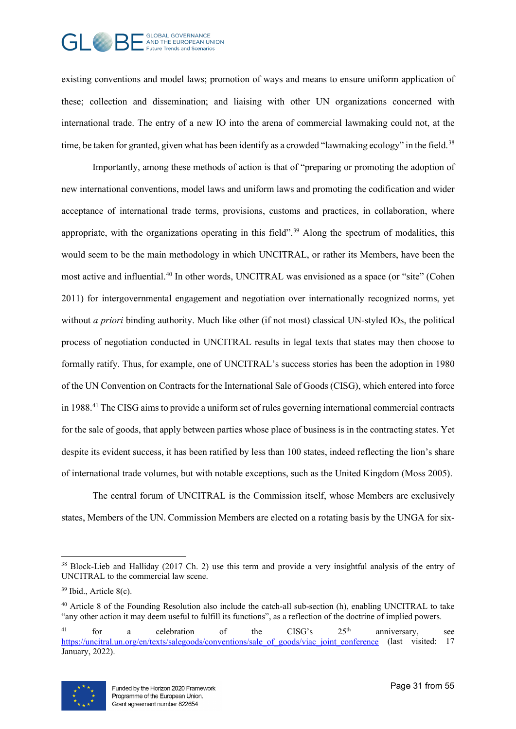

existing conventions and model laws; promotion of ways and means to ensure uniform application of these; collection and dissemination; and liaising with other UN organizations concerned with international trade. The entry of a new IO into the arena of commercial lawmaking could not, at the time, be taken for granted, given what has been identify as a crowded "lawmaking ecology" in the field.<sup>[38](#page-30-0)</sup>

Importantly, among these methods of action is that of "preparing or promoting the adoption of new international conventions, model laws and uniform laws and promoting the codification and wider acceptance of international trade terms, provisions, customs and practices, in collaboration, where appropriate, with the organizations operating in this field".<sup>[39](#page-30-1)</sup> Along the spectrum of modalities, this would seem to be the main methodology in which UNCITRAL, or rather its Members, have been the most active and influential.<sup>[40](#page-30-2)</sup> In other words, UNCITRAL was envisioned as a space (or "site" (Cohen 2011) for intergovernmental engagement and negotiation over internationally recognized norms, yet without *a priori* binding authority. Much like other (if not most) classical UN-styled IOs, the political process of negotiation conducted in UNCITRAL results in legal texts that states may then choose to formally ratify. Thus, for example, one of UNCITRAL's success stories has been the adoption in 1980 of the UN Convention on Contracts for the International Sale of Goods (CISG), which entered into force in 1988.[41](#page-30-3) The CISG aims to provide a uniform set of rules governing international commercial contracts for the sale of goods, that apply between parties whose place of business is in the contracting states. Yet despite its evident success, it has been ratified by less than 100 states, indeed reflecting the lion's share of international trade volumes, but with notable exceptions, such as the United Kingdom (Moss 2005).

The central forum of UNCITRAL is the Commission itself, whose Members are exclusively states, Members of the UN. Commission Members are elected on a rotating basis by the UNGA for six-

<span id="page-30-4"></span><sup>&</sup>lt;sup>41</sup> for a celebration of the CISG's  $25<sup>th</sup>$  anniversary, see [https://uncitral.un.org/en/texts/salegoods/conventions/sale\\_of\\_goods/viac\\_joint\\_conference](https://uncitral.un.org/en/texts/salegoods/conventions/sale_of_goods/viac_joint_conference) (last visited: 17 January, 2022).



<span id="page-30-1"></span><span id="page-30-0"></span><sup>38</sup> Block-Lieb and Halliday (2017 Ch. 2) use this term and provide a very insightful analysis of the entry of UNCITRAL to the commercial law scene.

<span id="page-30-2"></span><sup>39</sup> Ibid., Article 8(c).

<span id="page-30-3"></span><sup>&</sup>lt;sup>40</sup> Article 8 of the Founding Resolution also include the catch-all sub-section (h), enabling UNCITRAL to take "any other action it may deem useful to fulfill its functions", as a reflection of the doctrine of implied powers.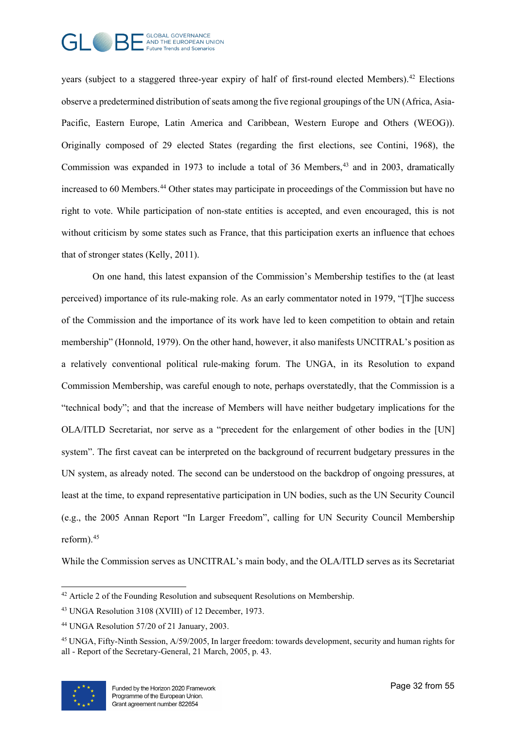

years (subject to a staggered three-year expiry of half of first-round elected Members).<sup>[42](#page-30-4)</sup> Elections observe a predetermined distribution of seats among the five regional groupings of the UN (Africa, Asia-Pacific, Eastern Europe, Latin America and Caribbean, Western Europe and Others (WEOG)). Originally composed of 29 elected States (regarding the first elections, see Contini, 1968), the Commission was expanded in 1973 to include a total of 36 Members, $43$  and in 2003, dramatically increased to 60 Members.<sup>[44](#page-31-1)</sup> Other states may participate in proceedings of the Commission but have no right to vote. While participation of non-state entities is accepted, and even encouraged, this is not without criticism by some states such as France, that this participation exerts an influence that echoes that of stronger states (Kelly, 2011).

On one hand, this latest expansion of the Commission's Membership testifies to the (at least perceived) importance of its rule-making role. As an early commentator noted in 1979, "[T]he success of the Commission and the importance of its work have led to keen competition to obtain and retain membership" (Honnold, 1979). On the other hand, however, it also manifests UNCITRAL's position as a relatively conventional political rule-making forum. The UNGA, in its Resolution to expand Commission Membership, was careful enough to note, perhaps overstatedly, that the Commission is a "technical body"; and that the increase of Members will have neither budgetary implications for the OLA/ITLD Secretariat, nor serve as a "precedent for the enlargement of other bodies in the [UN] system". The first caveat can be interpreted on the background of recurrent budgetary pressures in the UN system, as already noted. The second can be understood on the backdrop of ongoing pressures, at least at the time, to expand representative participation in UN bodies, such as the UN Security Council (e.g., the 2005 Annan Report "In Larger Freedom", calling for UN Security Council Membership reform).[45](#page-31-2)

While the Commission serves as UNCITRAL's main body, and the OLA/ITLD serves as its Secretariat

<span id="page-31-2"></span><sup>45</sup> UNGA, Fifty-Ninth Session, A/59/2005, In larger freedom: towards development, security and human rights for all - Report of the Secretary-General, 21 March, 2005, p. 43.



<sup>&</sup>lt;sup>42</sup> Article 2 of the Founding Resolution and subsequent Resolutions on Membership.

<span id="page-31-0"></span><sup>43</sup> UNGA Resolution 3108 (XVIII) of 12 December, 1973.

<span id="page-31-1"></span><sup>44</sup> UNGA Resolution 57/20 of 21 January, 2003.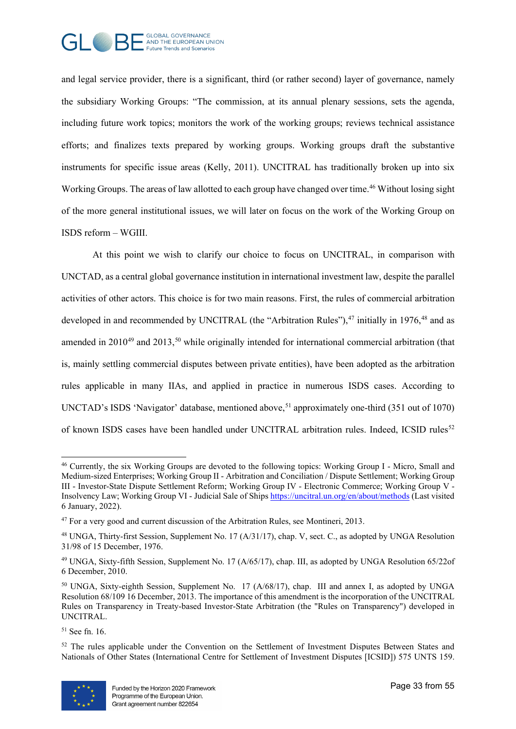

and legal service provider, there is a significant, third (or rather second) layer of governance, namely the subsidiary Working Groups: "The commission, at its annual plenary sessions, sets the agenda, including future work topics; monitors the work of the working groups; reviews technical assistance efforts; and finalizes texts prepared by working groups. Working groups draft the substantive instruments for specific issue areas (Kelly, 2011). UNCITRAL has traditionally broken up into six Working Groups. The areas of law allotted to each group have changed over time.<sup>46</sup> Without losing sight of the more general institutional issues, we will later on focus on the work of the Working Group on ISDS reform – WGIII.

At this point we wish to clarify our choice to focus on UNCITRAL, in comparison with UNCTAD, as a central global governance institution in international investment law, despite the parallel activities of other actors. This choice is for two main reasons. First, the rules of commercial arbitration developed in and recommended by UNCITRAL (the "Arbitration Rules"),  $47$  initially in 1976,  $48$  and as amended in  $2010^{49}$  $2010^{49}$  $2010^{49}$  and  $2013$ ,<sup>[50](#page-32-4)</sup> while originally intended for international commercial arbitration (that is, mainly settling commercial disputes between private entities), have been adopted as the arbitration rules applicable in many IIAs, and applied in practice in numerous ISDS cases. According to UNCTAD's ISDS 'Navigator' database, mentioned above,  $51$  approximately one-third (351 out of 1070) of known ISDS cases have been handled under UNCITRAL arbitration rules. Indeed, ICSID rules<sup>[52](#page-32-6)</sup>

 $52$  The rules applicable under the Convention on the Settlement of Investment Disputes Between States and Nationals of Other States (International Centre for Settlement of Investment Disputes [ICSID]) 575 UNTS 159.



<span id="page-32-0"></span><sup>46</sup> Currently, the six Working Groups are devoted to the following topics: Working Group I - Micro, Small and Medium-sized Enterprises; Working Group II - Arbitration and Conciliation / Dispute Settlement; Working Group III - Investor-State Dispute Settlement Reform; Working Group IV - Electronic Commerce; Working Group V Insolvency Law; Working Group VI - Judicial Sale of Ships<https://uncitral.un.org/en/about/methods> (Last visited 6 January, 2022).

<span id="page-32-2"></span><span id="page-32-1"></span><sup>&</sup>lt;sup>47</sup> For a very good and current discussion of the Arbitration Rules, see Montineri, 2013.

<span id="page-32-3"></span><sup>48</sup> UNGA, Thirty-first Session, Supplement No. 17 (A/31/17), chap. V, sect. C., as adopted by UNGA Resolution 31/98 of 15 December, 1976.

<span id="page-32-4"></span><sup>49</sup> UNGA, Sixty-fifth Session, Supplement No. 17 (A/65/17), chap. III, as adopted by UNGA Resolution 65/22of 6 December, 2010.

<span id="page-32-5"></span><sup>&</sup>lt;sup>50</sup> UNGA, Sixty-eighth Session, Supplement No. 17 (A/68/17), chap. III and annex I, as adopted by UNGA Resolution 68/109 16 December, 2013. The importance of this amendment is the incorporation of the UNCITRAL Rules on Transparency in Treaty-based Investor-State Arbitration (the "Rules on Transparency") developed in UNCITRAL.

<span id="page-32-6"></span><sup>51</sup> See fn. 16.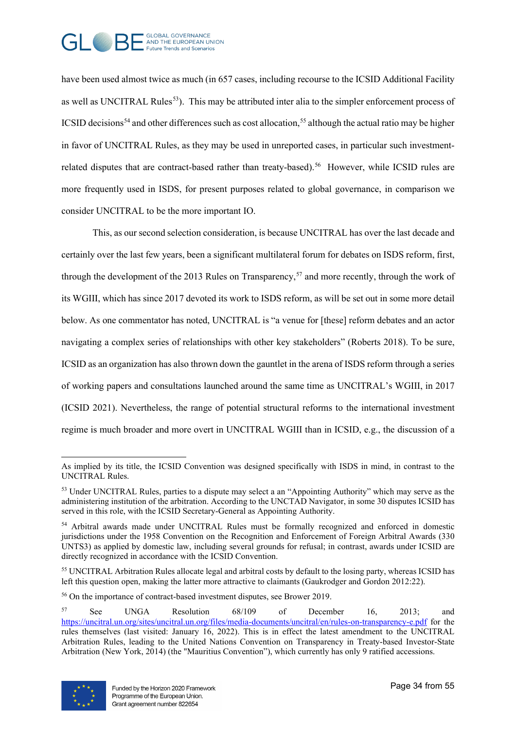

have been used almost twice as much (in 657 cases, including recourse to the ICSID Additional Facility as well as UNCITRAL Rules<sup>[53](#page-33-0)</sup>). This may be attributed inter alia to the simpler enforcement process of ICSID decisions<sup>[54](#page-33-1)</sup> and other differences such as cost allocation,<sup>55</sup> although the actual ratio may be higher in favor of UNCITRAL Rules, as they may be used in unreported cases, in particular such investmentrelated disputes that are contract-based rather than treaty-based). [56](#page-33-3) However, while ICSID rules are more frequently used in ISDS, for present purposes related to global governance, in comparison we consider UNCITRAL to be the more important IO.

This, as our second selection consideration, is because UNCITRAL has over the last decade and certainly over the last few years, been a significant multilateral forum for debates on ISDS reform, first, through the development of the 2013 Rules on Transparency,<sup>[57](#page-33-4)</sup> and more recently, through the work of its WGIII, which has since 2017 devoted its work to ISDS reform, as will be set out in some more detail below. As one commentator has noted, UNCITRAL is "a venue for [these] reform debates and an actor navigating a complex series of relationships with other key stakeholders" (Roberts 2018). To be sure, ICSID as an organization has also thrown down the gauntlet in the arena of ISDS reform through a series of working papers and consultations launched around the same time as UNCITRAL's WGIII, in 2017 (ICSID 2021). Nevertheless, the range of potential structural reforms to the international investment regime is much broader and more overt in UNCITRAL WGIII than in ICSID, e.g., the discussion of a

<span id="page-33-4"></span><sup>56</sup> On the importance of contract-based investment disputes, see Brower 2019.

<span id="page-33-5"></span><sup>57</sup> See UNGA Resolution 68/109 of December 16, 2013; and <https://uncitral.un.org/sites/uncitral.un.org/files/media-documents/uncitral/en/rules-on-transparency-e.pdf> for the rules themselves (last visited: January 16, 2022). This is in effect the latest amendment to the UNCITRAL Arbitration Rules, leading to the United Nations Convention on Transparency in Treaty-based Investor-State Arbitration (New York, 2014) (the "Mauritius Convention"), which currently has only 9 ratified accessions.



<span id="page-33-0"></span>As implied by its title, the ICSID Convention was designed specifically with ISDS in mind, in contrast to the UNCITRAL Rules.

<sup>53</sup> Under UNCITRAL Rules, parties to a dispute may select a an "Appointing Authority" which may serve as the administering institution of the arbitration. According to the UNCTAD Navigator, in some 30 disputes ICSID has served in this role, with the ICSID Secretary-General as Appointing Authority.

<span id="page-33-1"></span><sup>&</sup>lt;sup>54</sup> Arbitral awards made under UNCITRAL Rules must be formally recognized and enforced in domestic jurisdictions under the 1958 Convention on the Recognition and Enforcement of Foreign Arbitral Awards (330 UNTS3) as applied by domestic law, including several grounds for refusal; in contrast, awards under ICSID are directly recognized in accordance with the ICSID Convention.

<span id="page-33-3"></span><span id="page-33-2"></span><sup>&</sup>lt;sup>55</sup> UNCITRAL Arbitration Rules allocate legal and arbitral costs by default to the losing party, whereas ICSID has left this question open, making the latter more attractive to claimants (Gaukrodger and Gordon 2012:22).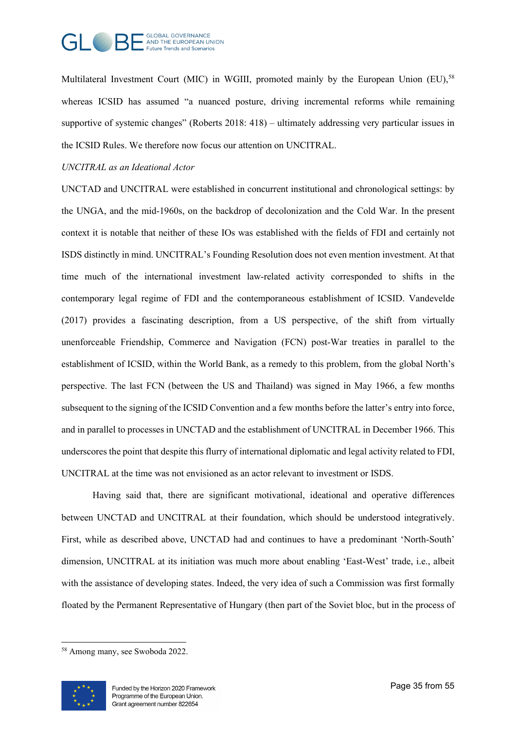

Multilateral Investment Court (MIC) in WGIII, promoted mainly by the European Union (EU),<sup>[58](#page-33-5)</sup> whereas ICSID has assumed "a nuanced posture, driving incremental reforms while remaining supportive of systemic changes" (Roberts 2018: 418) – ultimately addressing very particular issues in the ICSID Rules. We therefore now focus our attention on UNCITRAL.

#### *UNCITRAL as an Ideational Actor*

UNCTAD and UNCITRAL were established in concurrent institutional and chronological settings: by the UNGA, and the mid-1960s, on the backdrop of decolonization and the Cold War. In the present context it is notable that neither of these IOs was established with the fields of FDI and certainly not ISDS distinctly in mind. UNCITRAL's Founding Resolution does not even mention investment. At that time much of the international investment law-related activity corresponded to shifts in the contemporary legal regime of FDI and the contemporaneous establishment of ICSID. Vandevelde (2017) provides a fascinating description, from a US perspective, of the shift from virtually unenforceable Friendship, Commerce and Navigation (FCN) post-War treaties in parallel to the establishment of ICSID, within the World Bank, as a remedy to this problem, from the global North's perspective. The last FCN (between the US and Thailand) was signed in May 1966, a few months subsequent to the signing of the ICSID Convention and a few months before the latter's entry into force, and in parallel to processes in UNCTAD and the establishment of UNCITRAL in December 1966. This underscores the point that despite this flurry of international diplomatic and legal activity related to FDI, UNCITRAL at the time was not envisioned as an actor relevant to investment or ISDS.

Having said that, there are significant motivational, ideational and operative differences between UNCTAD and UNCITRAL at their foundation, which should be understood integratively. First, while as described above, UNCTAD had and continues to have a predominant 'North-South' dimension, UNCITRAL at its initiation was much more about enabling 'East-West' trade, i.e., albeit with the assistance of developing states. Indeed, the very idea of such a Commission was first formally floated by the Permanent Representative of Hungary (then part of the Soviet bloc, but in the process of

<sup>58</sup> Among many, see Swoboda 2022.

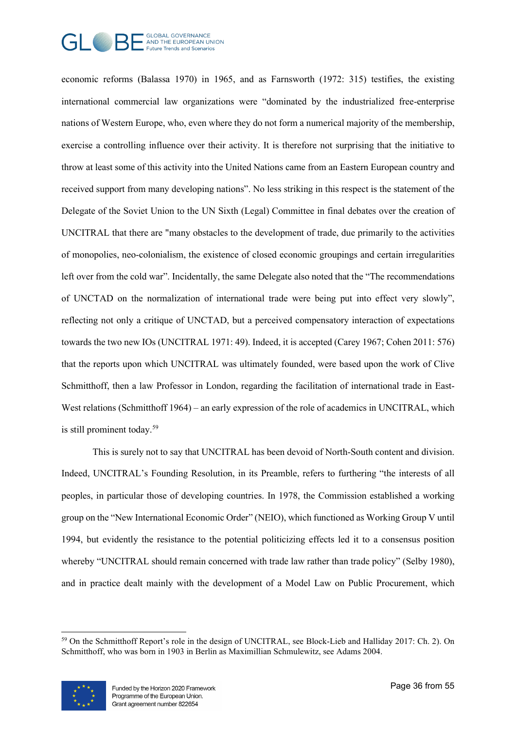

economic reforms (Balassa 1970) in 1965, and as Farnsworth (1972: 315) testifies, the existing international commercial law organizations were "dominated by the industrialized free-enterprise nations of Western Europe, who, even where they do not form a numerical majority of the membership, exercise a controlling influence over their activity. It is therefore not surprising that the initiative to throw at least some of this activity into the United Nations came from an Eastern European country and received support from many developing nations". No less striking in this respect is the statement of the Delegate of the Soviet Union to the UN Sixth (Legal) Committee in final debates over the creation of UNCITRAL that there are "many obstacles to the development of trade, due primarily to the activities of monopolies, neo-colonialism, the existence of closed economic groupings and certain irregularities left over from the cold war". Incidentally, the same Delegate also noted that the "The recommendations of UNCTAD on the normalization of international trade were being put into effect very slowly", reflecting not only a critique of UNCTAD, but a perceived compensatory interaction of expectations towards the two new IOs (UNCITRAL 1971: 49). Indeed, it is accepted (Carey 1967; Cohen 2011: 576) that the reports upon which UNCITRAL was ultimately founded, were based upon the work of Clive Schmitthoff, then a law Professor in London, regarding the facilitation of international trade in East-West relations (Schmitthoff 1964) – an early expression of the role of academics in UNCITRAL, which is still prominent today.[59](#page-35-0)

This is surely not to say that UNCITRAL has been devoid of North-South content and division. Indeed, UNCITRAL's Founding Resolution, in its Preamble, refers to furthering "the interests of all peoples, in particular those of developing countries. In 1978, the Commission established a working group on the "New International Economic Order" (NEIO), which functioned as Working Group V until 1994, but evidently the resistance to the potential politicizing effects led it to a consensus position whereby "UNCITRAL should remain concerned with trade law rather than trade policy" (Selby 1980), and in practice dealt mainly with the development of a Model Law on Public Procurement, which

<span id="page-35-1"></span><span id="page-35-0"></span><sup>59</sup> On the Schmitthoff Report's role in the design of UNCITRAL, see Block-Lieb and Halliday 2017: Ch. 2). On Schmitthoff, who was born in 1903 in Berlin as Maximillian Schmulewitz, see Adams 2004.

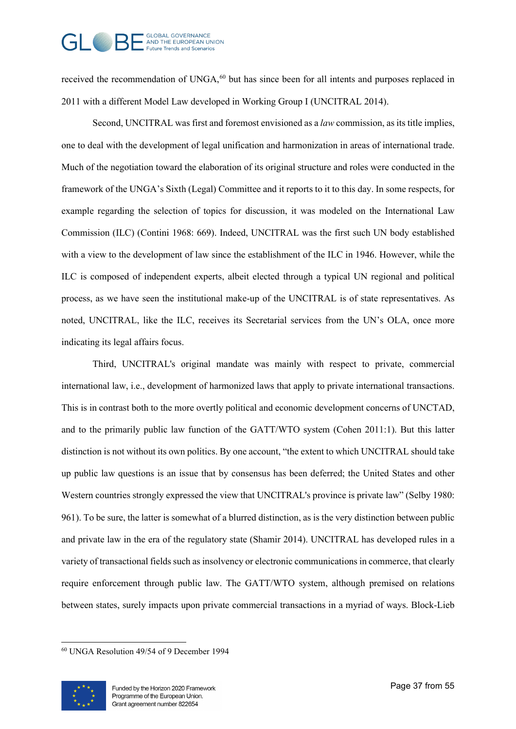# GLOBAL GOVERNANCE<br>- AND THE EUROPEAN UNION uture Trends and Scenarios

received the recommendation of UNGA,<sup>[60](#page-35-1)</sup> but has since been for all intents and purposes replaced in 2011 with a different Model Law developed in Working Group I (UNCITRAL 2014).

Second, UNCITRAL was first and foremost envisioned as a *law* commission, as its title implies, one to deal with the development of legal unification and harmonization in areas of international trade. Much of the negotiation toward the elaboration of its original structure and roles were conducted in the framework of the UNGA's Sixth (Legal) Committee and it reports to it to this day. In some respects, for example regarding the selection of topics for discussion, it was modeled on the International Law Commission (ILC) (Contini 1968: 669). Indeed, UNCITRAL was the first such UN body established with a view to the development of law since the establishment of the ILC in 1946. However, while the ILC is composed of independent experts, albeit elected through a typical UN regional and political process, as we have seen the institutional make-up of the UNCITRAL is of state representatives. As noted, UNCITRAL, like the ILC, receives its Secretarial services from the UN's OLA, once more indicating its legal affairs focus.

Third, UNCITRAL's original mandate was mainly with respect to private, commercial international law, i.e., development of harmonized laws that apply to private international transactions. This is in contrast both to the more overtly political and economic development concerns of UNCTAD, and to the primarily public law function of the GATT/WTO system (Cohen 2011:1). But this latter distinction is not without its own politics. By one account, "the extent to which UNCITRAL should take up public law questions is an issue that by consensus has been deferred; the United States and other Western countries strongly expressed the view that UNCITRAL's province is private law" (Selby 1980: 961). To be sure, the latter is somewhat of a blurred distinction, as is the very distinction between public and private law in the era of the regulatory state (Shamir 2014). UNCITRAL has developed rules in a variety of transactional fields such as insolvency or electronic communications in commerce, that clearly require enforcement through public law. The GATT/WTO system, although premised on relations between states, surely impacts upon private commercial transactions in a myriad of ways. Block-Lieb

<sup>60</sup> UNGA Resolution 49/54 of 9 December 1994

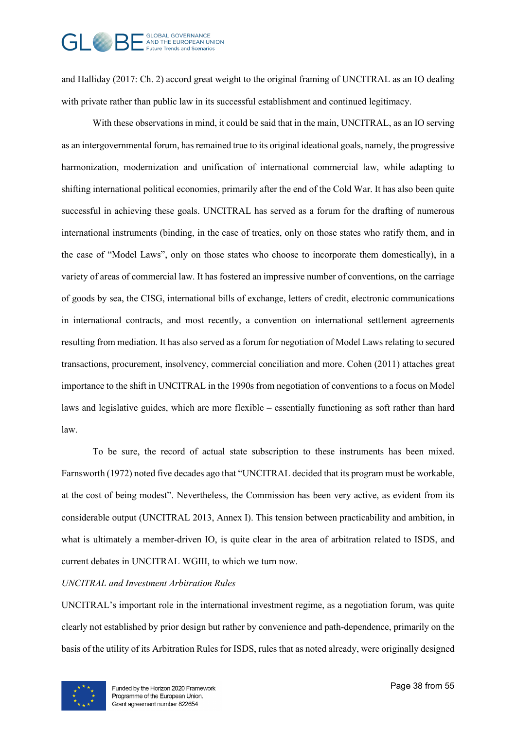

and Halliday (2017: Ch. 2) accord great weight to the original framing of UNCITRAL as an IO dealing with private rather than public law in its successful establishment and continued legitimacy.

With these observations in mind, it could be said that in the main, UNCITRAL, as an IO serving as an intergovernmental forum, has remained true to its original ideational goals, namely, the progressive harmonization, modernization and unification of international commercial law, while adapting to shifting international political economies, primarily after the end of the Cold War. It has also been quite successful in achieving these goals. UNCITRAL has served as a forum for the drafting of numerous international instruments (binding, in the case of treaties, only on those states who ratify them, and in the case of "Model Laws", only on those states who choose to incorporate them domestically), in a variety of areas of commercial law. It has fostered an impressive number of conventions, on the carriage of goods by sea, the CISG, international bills of exchange, letters of credit, electronic communications in international contracts, and most recently, a convention on international settlement agreements resulting from mediation. It has also served as a forum for negotiation of Model Laws relating to secured transactions, procurement, insolvency, commercial conciliation and more. Cohen (2011) attaches great importance to the shift in UNCITRAL in the 1990s from negotiation of conventions to a focus on Model laws and legislative guides, which are more flexible – essentially functioning as soft rather than hard law.

To be sure, the record of actual state subscription to these instruments has been mixed. Farnsworth (1972) noted five decades ago that "UNCITRAL decided that its program must be workable, at the cost of being modest". Nevertheless, the Commission has been very active, as evident from its considerable output (UNCITRAL 2013, Annex I). This tension between practicability and ambition, in what is ultimately a member-driven IO, is quite clear in the area of arbitration related to ISDS, and current debates in UNCITRAL WGIII, to which we turn now.

#### *UNCITRAL and Investment Arbitration Rules*

UNCITRAL's important role in the international investment regime, as a negotiation forum, was quite clearly not established by prior design but rather by convenience and path-dependence, primarily on the basis of the utility of its Arbitration Rules for ISDS, rules that as noted already, were originally designed

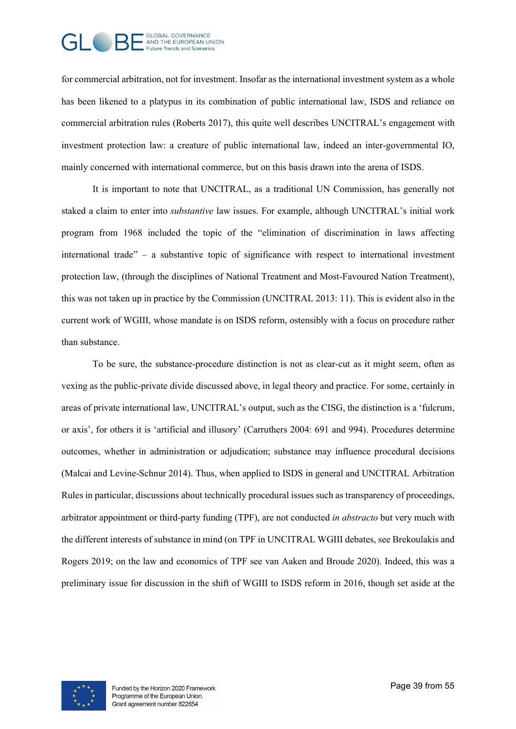

for commercial arbitration, not for investment. Insofar as the international investment system as a whole has been likened to a platypus in its combination of public international law, ISDS and reliance on commercial arbitration rules (Roberts 2017), this quite well describes UNCITRAL's engagement with investment protection law: a creature of public international law, indeed an inter-governmental IO, mainly concerned with international commerce, but on this basis drawn into the arena of ISDS.

It is important to note that UNCITRAL, as a traditional UN Commission, has generally not staked a claim to enter into *substantive* law issues. For example, although UNCITRAL's initial work program from 1968 included the topic of the "elimination of discrimination in laws affecting international trade" – a substantive topic of significance with respect to international investment protection law, (through the disciplines of National Treatment and Most-Favoured Nation Treatment), this was not taken up in practice by the Commission (UNCITRAL 2013: 11). This is evident also in the current work of WGIII, whose mandate is on ISDS reform, ostensibly with a focus on procedure rather than substance.

To be sure, the substance-procedure distinction is not as clear-cut as it might seem, often as vexing as the public-private divide discussed above, in legal theory and practice. For some, certainly in areas of private international law, UNCITRAL's output, such as the CISG, the distinction is a 'fulcrum, or axis', for others it is 'artificial and illusory' (Carruthers 2004: 691 and 994). Procedures determine outcomes, whether in administration or adjudication; substance may influence procedural decisions (Malcai and Levine-Schnur 2014). Thus, when applied to ISDS in general and UNCITRAL Arbitration Rules in particular, discussions about technically procedural issues such as transparency of proceedings, arbitrator appointment or third-party funding (TPF), are not conducted *in abstracto* but very much with the different interests of substance in mind (on TPF in UNCITRAL WGIII debates, see Brekoulakis and Rogers 2019; on the law and economics of TPF see van Aaken and Broude 2020). Indeed, this was a preliminary issue for discussion in the shift of WGIII to ISDS reform in 2016, though set aside at the

<span id="page-38-0"></span>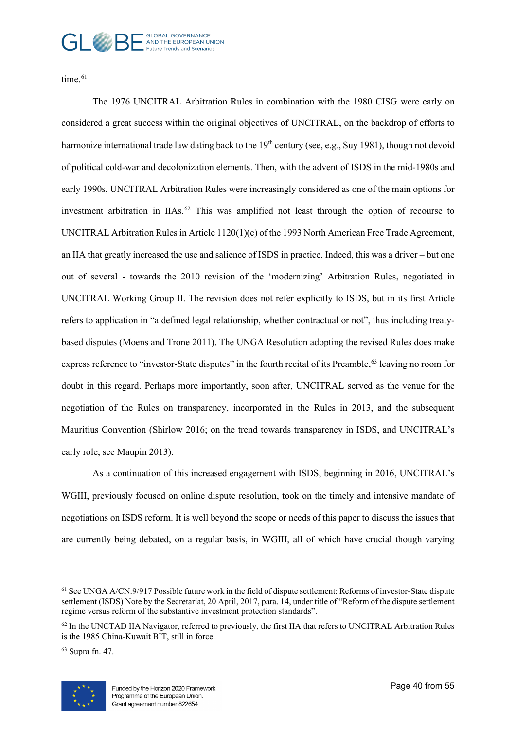# GI COBAL GOVERNANCE Future Trends and Scenarios

time.<sup>[61](#page-38-0)</sup>

The 1976 UNCITRAL Arbitration Rules in combination with the 1980 CISG were early on considered a great success within the original objectives of UNCITRAL, on the backdrop of efforts to harmonize international trade law dating back to the 19<sup>th</sup> century (see, e.g., Suy 1981), though not devoid of political cold-war and decolonization elements. Then, with the advent of ISDS in the mid-1980s and early 1990s, UNCITRAL Arbitration Rules were increasingly considered as one of the main options for investment arbitration in IIAs.<sup>[62](#page-39-0)</sup> This was amplified not least through the option of recourse to UNCITRAL Arbitration Rules in Article 1120(1)(c) of the 1993 North American Free Trade Agreement, an IIA that greatly increased the use and salience of ISDS in practice. Indeed, this was a driver – but one out of several - towards the 2010 revision of the 'modernizing' Arbitration Rules, negotiated in UNCITRAL Working Group II. The revision does not refer explicitly to ISDS, but in its first Article refers to application in "a defined legal relationship, whether contractual or not", thus including treatybased disputes (Moens and Trone 2011). The UNGA Resolution adopting the revised Rules does make express reference to "investor-State disputes" in the fourth recital of its Preamble,<sup>63</sup> leaving no room for doubt in this regard. Perhaps more importantly, soon after, UNCITRAL served as the venue for the negotiation of the Rules on transparency, incorporated in the Rules in 2013, and the subsequent Mauritius Convention (Shirlow 2016; on the trend towards transparency in ISDS, and UNCITRAL's early role, see Maupin 2013).

As a continuation of this increased engagement with ISDS, beginning in 2016, UNCITRAL's WGIII, previously focused on online dispute resolution, took on the timely and intensive mandate of negotiations on ISDS reform. It is well beyond the scope or needs of this paper to discuss the issues that are currently being debated, on a regular basis, in WGIII, all of which have crucial though varying

<span id="page-39-1"></span><sup>63</sup> Supra fn. 47.



 $61$  See UNGA A/CN.9/917 Possible future work in the field of dispute settlement: Reforms of investor-State dispute settlement (ISDS) Note by the Secretariat, 20 April, 2017, para. 14, under title of "Reform of the dispute settlement regime versus reform of the substantive investment protection standards".

<span id="page-39-0"></span> $62$  In the UNCTAD IIA Navigator, referred to previously, the first IIA that refers to UNCITRAL Arbitration Rules is the 1985 China-Kuwait BIT, still in force.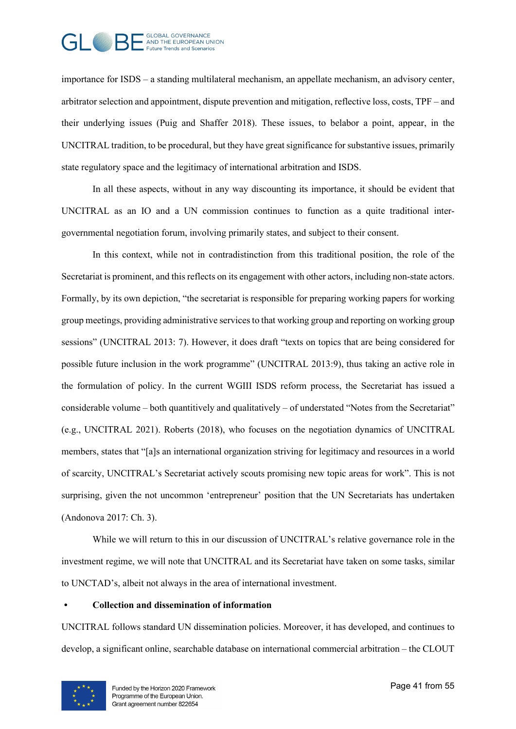

importance for ISDS – a standing multilateral mechanism, an appellate mechanism, an advisory center, arbitrator selection and appointment, dispute prevention and mitigation, reflective loss, costs, TPF – and their underlying issues (Puig and Shaffer 2018). These issues, to belabor a point, appear, in the UNCITRAL tradition, to be procedural, but they have great significance for substantive issues, primarily state regulatory space and the legitimacy of international arbitration and ISDS.

In all these aspects, without in any way discounting its importance, it should be evident that UNCITRAL as an IO and a UN commission continues to function as a quite traditional intergovernmental negotiation forum, involving primarily states, and subject to their consent.

In this context, while not in contradistinction from this traditional position, the role of the Secretariat is prominent, and this reflects on its engagement with other actors, including non-state actors. Formally, by its own depiction, "the secretariat is responsible for preparing working papers for working group meetings, providing administrative services to that working group and reporting on working group sessions" (UNCITRAL 2013: 7). However, it does draft "texts on topics that are being considered for possible future inclusion in the work programme" (UNCITRAL 2013:9), thus taking an active role in the formulation of policy. In the current WGIII ISDS reform process, the Secretariat has issued a considerable volume – both quantitively and qualitatively – of understated "Notes from the Secretariat" (e.g., UNCITRAL 2021). Roberts (2018), who focuses on the negotiation dynamics of UNCITRAL members, states that "[a]s an international organization striving for legitimacy and resources in a world of scarcity, UNCITRAL's Secretariat actively scouts promising new topic areas for work". This is not surprising, given the not uncommon 'entrepreneur' position that the UN Secretariats has undertaken (Andonova 2017: Ch. 3).

While we will return to this in our discussion of UNCITRAL's relative governance role in the investment regime, we will note that UNCITRAL and its Secretariat have taken on some tasks, similar to UNCTAD's, albeit not always in the area of international investment.

#### **• Collection and dissemination of information**

<span id="page-40-1"></span><span id="page-40-0"></span>UNCITRAL follows standard UN dissemination policies. Moreover, it has developed, and continues to develop, a significant online, searchable database on international commercial arbitration – the CLOUT

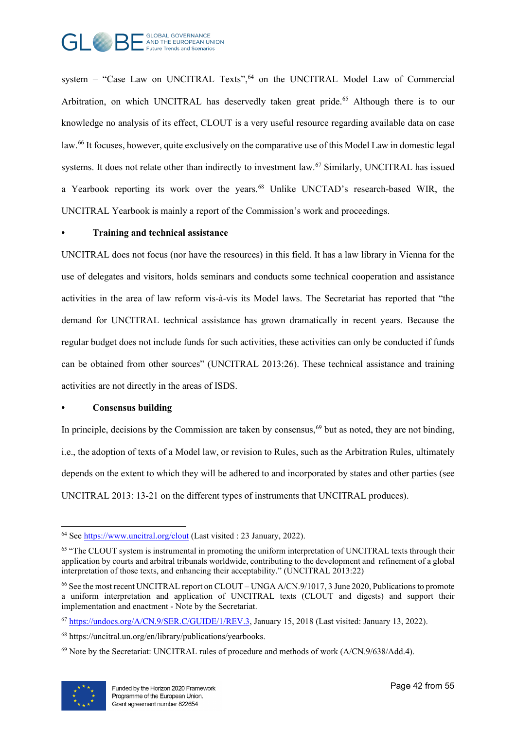

system – "Case Law on UNCITRAL Texts", $64$  on the UNCITRAL Model Law of Commercial Arbitration, on which UNCITRAL has deservedly taken great pride.<sup>[65](#page-40-1)</sup> Although there is to our knowledge no analysis of its effect, CLOUT is a very useful resource regarding available data on case law.<sup>[66](#page-41-0)</sup> It focuses, however, quite exclusively on the comparative use of this Model Law in domestic legal systems. It does not relate other than indirectly to investment law.<sup>[67](#page-41-1)</sup> Similarly, UNCITRAL has issued a Yearbook reporting its work over the years.<sup>[68](#page-41-2)</sup> Unlike UNCTAD's research-based WIR, the UNCITRAL Yearbook is mainly a report of the Commission's work and proceedings.

#### **• Training and technical assistance**

UNCITRAL does not focus (nor have the resources) in this field. It has a law library in Vienna for the use of delegates and visitors, holds seminars and conducts some technical cooperation and assistance activities in the area of law reform vis-à-vis its Model laws. The Secretariat has reported that "the demand for UNCITRAL technical assistance has grown dramatically in recent years. Because the regular budget does not include funds for such activities, these activities can only be conducted if funds can be obtained from other sources" (UNCITRAL 2013:26). These technical assistance and training activities are not directly in the areas of ISDS.

#### **• Consensus building**

In principle, decisions by the Commission are taken by consensus,<sup>[69](#page-41-3)</sup> but as noted, they are not binding, i.e., the adoption of texts of a Model law, or revision to Rules, such as the Arbitration Rules, ultimately depends on the extent to which they will be adhered to and incorporated by states and other parties (see UNCITRAL 2013: 13-21 on the different types of instruments that UNCITRAL produces).

<span id="page-41-3"></span> $69$  Note by the Secretariat: UNCITRAL rules of procedure and methods of work ( $A/CN.9/638/Add.4$ ).



<sup>64</sup> See<https://www.uncitral.org/clout> (Last visited : 23 January, 2022).

<sup>&</sup>lt;sup>65</sup> "The CLOUT system is instrumental in promoting the uniform interpretation of UNCITRAL texts through their application by courts and arbitral tribunals worldwide, contributing to the development and refinement of a global interpretation of those texts, and enhancing their acceptability." (UNCITRAL 2013:22)

<span id="page-41-0"></span><sup>66</sup> See the most recent UNCITRAL report on CLOUT – UNGA A/CN.9/1017, 3 June 2020, Publications to promote a uniform interpretation and application of UNCITRAL texts (CLOUT and digests) and support their implementation and enactment - Note by the Secretariat.

<span id="page-41-1"></span><sup>67</sup> [https://undocs.org/A/CN.9/SER.C/GUIDE/1/REV.3,](https://undocs.org/A/CN.9/SER.C/GUIDE/1/REV.3) January 15, 2018 (Last visited: January 13, 2022).

<span id="page-41-2"></span><sup>68</sup> https://uncitral.un.org/en/library/publications/yearbooks.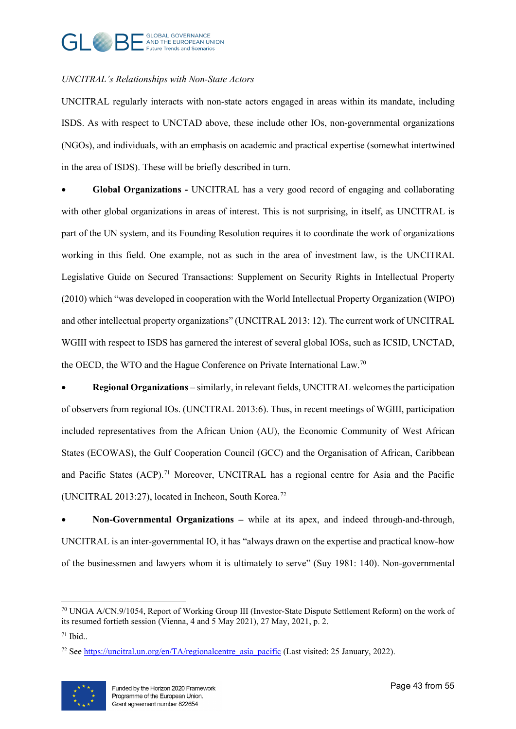# GLOBAL GOVERNANCE<br>AND THE EUROPEAN UNION uture Trends and Scenarios

## *UNCITRAL's Relationships with Non-State Actors*

UNCITRAL regularly interacts with non-state actors engaged in areas within its mandate, including ISDS. As with respect to UNCTAD above, these include other IOs, non-governmental organizations (NGOs), and individuals, with an emphasis on academic and practical expertise (somewhat intertwined in the area of ISDS). These will be briefly described in turn.

• **Global Organizations -** UNCITRAL has a very good record of engaging and collaborating with other global organizations in areas of interest. This is not surprising, in itself, as UNCITRAL is part of the UN system, and its Founding Resolution requires it to coordinate the work of organizations working in this field. One example, not as such in the area of investment law, is the UNCITRAL Legislative Guide on Secured Transactions: Supplement on Security Rights in Intellectual Property (2010) which "was developed in cooperation with the World Intellectual Property Organization (WIPO) and other intellectual property organizations" (UNCITRAL 2013: 12). The current work of UNCITRAL WGIII with respect to ISDS has garnered the interest of several global IOSs, such as ICSID, UNCTAD, the OECD, the WTO and the Hague Conference on Private International Law.<sup>[70](#page-42-0)</sup>

• **Regional Organizations –** similarly, in relevant fields, UNCITRAL welcomes the participation of observers from regional IOs. (UNCITRAL 2013:6). Thus, in recent meetings of WGIII, participation included representatives from the African Union (AU), the Economic Community of West African States (ECOWAS), the Gulf Cooperation Council (GCC) and the Organisation of African, Caribbean and Pacific States (ACP).<sup>71</sup> Moreover, UNCITRAL has a regional centre for Asia and the Pacific (UNCITRAL 2013:27), located in Incheon, South Korea.<sup>[72](#page-42-2)</sup>

• **Non-Governmental Organizations –** while at its apex, and indeed through-and-through, UNCITRAL is an inter-governmental IO, it has "always drawn on the expertise and practical know-how of the businessmen and lawyers whom it is ultimately to serve" (Suy 1981: 140). Non-governmental

<span id="page-42-2"></span><sup>&</sup>lt;sup>72</sup> See https://uncitral.un.org/en/TA/regionalcentre asia pacific (Last visited: 25 January, 2022).



<span id="page-42-0"></span> $70$  UNGA A/CN.9/1054, Report of Working Group III (Investor-State Dispute Settlement Reform) on the work of its resumed fortieth session (Vienna, 4 and 5 May 2021), 27 May, 2021, p. 2.

<span id="page-42-1"></span> $71$  Ibid..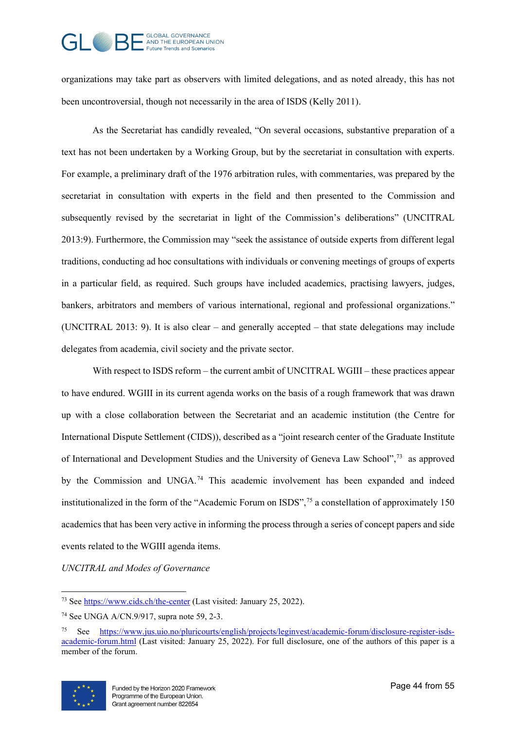# GLOBAL GOVERNANCE<br>- AND THE EUROPEAN UNION **Future Trends and Scenarios**

organizations may take part as observers with limited delegations, and as noted already, this has not been uncontroversial, though not necessarily in the area of ISDS (Kelly 2011).

As the Secretariat has candidly revealed, "On several occasions, substantive preparation of a text has not been undertaken by a Working Group, but by the secretariat in consultation with experts. For example, a preliminary draft of the 1976 arbitration rules, with commentaries, was prepared by the secretariat in consultation with experts in the field and then presented to the Commission and subsequently revised by the secretariat in light of the Commission's deliberations" (UNCITRAL 2013:9). Furthermore, the Commission may "seek the assistance of outside experts from different legal traditions, conducting ad hoc consultations with individuals or convening meetings of groups of experts in a particular field, as required. Such groups have included academics, practising lawyers, judges, bankers, arbitrators and members of various international, regional and professional organizations." (UNCITRAL 2013: 9). It is also clear – and generally accepted – that state delegations may include delegates from academia, civil society and the private sector.

With respect to ISDS reform – the current ambit of UNCITRAL WGIII – these practices appear to have endured. WGIII in its current agenda works on the basis of a rough framework that was drawn up with a close collaboration between the Secretariat and an academic institution (the Centre for International Dispute Settlement (CIDS)), described as a "joint research center of the Graduate Institute of International and Development Studies and the University of Geneva Law School",[73](#page-43-0) as approved by the Commission and UNGA.<sup>[74](#page-43-1)</sup> This academic involvement has been expanded and indeed institutionalized in the form of the "Academic Forum on ISDS",<sup>[75](#page-43-2)</sup> a constellation of approximately 150 academics that has been very active in informing the process through a series of concept papers and side events related to the WGIII agenda items.

*UNCITRAL and Modes of Governance*

<span id="page-43-2"></span><sup>75</sup> See [https://www.jus.uio.no/pluricourts/english/projects/leginvest/academic-forum/disclosure-register-isds](https://www.jus.uio.no/pluricourts/english/projects/leginvest/academic-forum/disclosure-register-isds-academic-forum.html)[academic-forum.html](https://www.jus.uio.no/pluricourts/english/projects/leginvest/academic-forum/disclosure-register-isds-academic-forum.html) (Last visited: January 25, 2022). For full disclosure, one of the authors of this paper is a member of the forum.



<span id="page-43-0"></span><sup>&</sup>lt;sup>73</sup> See<https://www.cids.ch/the-center> (Last visited: January 25, 2022).

<span id="page-43-1"></span><sup>74</sup> See UNGA A/CN.9/917, supra note 59, 2-3.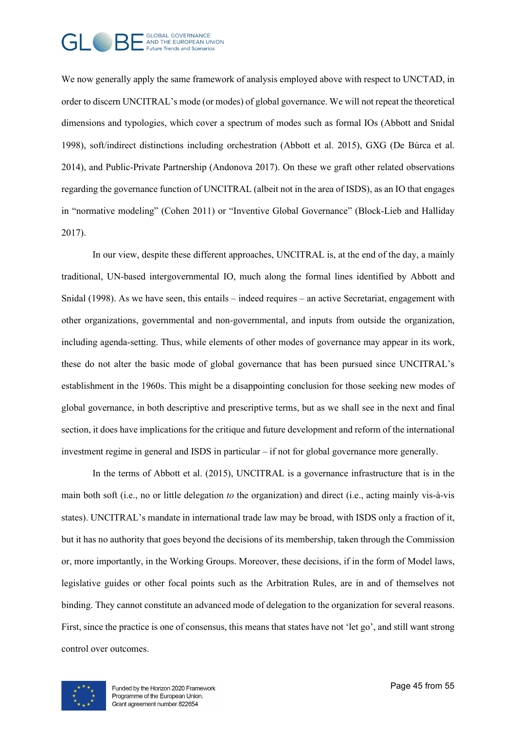

We now generally apply the same framework of analysis employed above with respect to UNCTAD, in order to discern UNCITRAL's mode (or modes) of global governance. We will not repeat the theoretical dimensions and typologies, which cover a spectrum of modes such as formal IOs (Abbott and Snidal 1998), soft/indirect distinctions including orchestration (Abbott et al. 2015), GXG (De Búrca et al. 2014), and Public-Private Partnership (Andonova 2017). On these we graft other related observations regarding the governance function of UNCITRAL (albeit not in the area of ISDS), as an IO that engages in "normative modeling" (Cohen 2011) or "Inventive Global Governance" (Block-Lieb and Halliday 2017).

In our view, despite these different approaches, UNCITRAL is, at the end of the day, a mainly traditional, UN-based intergovernmental IO, much along the formal lines identified by Abbott and Snidal (1998). As we have seen, this entails – indeed requires – an active Secretariat, engagement with other organizations, governmental and non-governmental, and inputs from outside the organization, including agenda-setting. Thus, while elements of other modes of governance may appear in its work, these do not alter the basic mode of global governance that has been pursued since UNCITRAL's establishment in the 1960s. This might be a disappointing conclusion for those seeking new modes of global governance, in both descriptive and prescriptive terms, but as we shall see in the next and final section, it does have implications for the critique and future development and reform of the international investment regime in general and ISDS in particular – if not for global governance more generally.

In the terms of Abbott et al. (2015), UNCITRAL is a governance infrastructure that is in the main both soft (i.e., no or little delegation *to* the organization) and direct (i.e., acting mainly vis-à-vis states). UNCITRAL's mandate in international trade law may be broad, with ISDS only a fraction of it, but it has no authority that goes beyond the decisions of its membership, taken through the Commission or, more importantly, in the Working Groups. Moreover, these decisions, if in the form of Model laws, legislative guides or other focal points such as the Arbitration Rules, are in and of themselves not binding. They cannot constitute an advanced mode of delegation to the organization for several reasons. First, since the practice is one of consensus, this means that states have not 'let go', and still want strong control over outcomes.

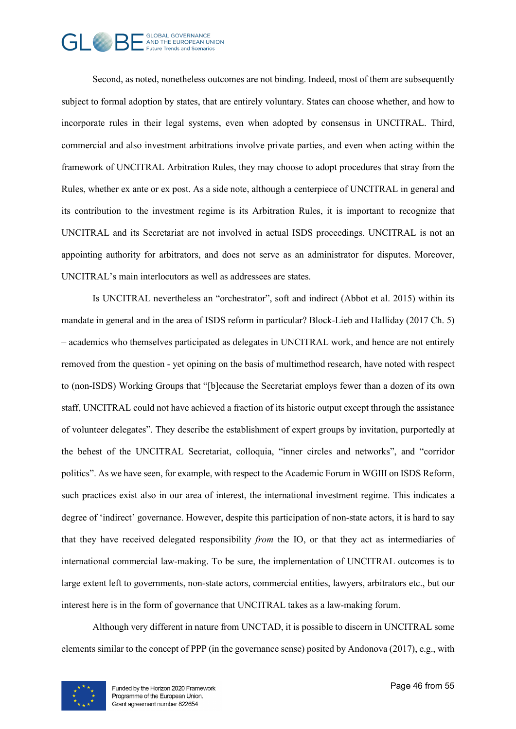

Second, as noted, nonetheless outcomes are not binding. Indeed, most of them are subsequently subject to formal adoption by states, that are entirely voluntary. States can choose whether, and how to incorporate rules in their legal systems, even when adopted by consensus in UNCITRAL. Third, commercial and also investment arbitrations involve private parties, and even when acting within the framework of UNCITRAL Arbitration Rules, they may choose to adopt procedures that stray from the Rules, whether ex ante or ex post. As a side note, although a centerpiece of UNCITRAL in general and its contribution to the investment regime is its Arbitration Rules, it is important to recognize that UNCITRAL and its Secretariat are not involved in actual ISDS proceedings. UNCITRAL is not an appointing authority for arbitrators, and does not serve as an administrator for disputes. Moreover, UNCITRAL's main interlocutors as well as addressees are states.

Is UNCITRAL nevertheless an "orchestrator", soft and indirect (Abbot et al. 2015) within its mandate in general and in the area of ISDS reform in particular? Block-Lieb and Halliday (2017 Ch. 5) – academics who themselves participated as delegates in UNCITRAL work, and hence are not entirely removed from the question - yet opining on the basis of multimethod research, have noted with respect to (non-ISDS) Working Groups that "[b]ecause the Secretariat employs fewer than a dozen of its own staff, UNCITRAL could not have achieved a fraction of its historic output except through the assistance of volunteer delegates". They describe the establishment of expert groups by invitation, purportedly at the behest of the UNCITRAL Secretariat, colloquia, "inner circles and networks", and "corridor politics". As we have seen, for example, with respect to the Academic Forum in WGIII on ISDS Reform, such practices exist also in our area of interest, the international investment regime. This indicates a degree of 'indirect' governance. However, despite this participation of non-state actors, it is hard to say that they have received delegated responsibility *from* the IO, or that they act as intermediaries of international commercial law-making. To be sure, the implementation of UNCITRAL outcomes is to large extent left to governments, non-state actors, commercial entities, lawyers, arbitrators etc., but our interest here is in the form of governance that UNCITRAL takes as a law-making forum.

Although very different in nature from UNCTAD, it is possible to discern in UNCITRAL some elements similar to the concept of PPP (in the governance sense) posited by Andonova (2017), e.g., with

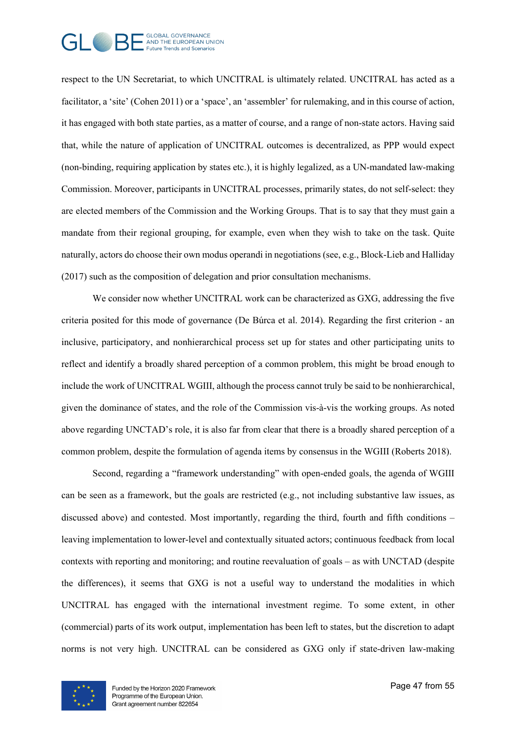

respect to the UN Secretariat, to which UNCITRAL is ultimately related. UNCITRAL has acted as a facilitator, a 'site' (Cohen 2011) or a 'space', an 'assembler' for rulemaking, and in this course of action, it has engaged with both state parties, as a matter of course, and a range of non-state actors. Having said that, while the nature of application of UNCITRAL outcomes is decentralized, as PPP would expect (non-binding, requiring application by states etc.), it is highly legalized, as a UN-mandated law-making Commission. Moreover, participants in UNCITRAL processes, primarily states, do not self-select: they are elected members of the Commission and the Working Groups. That is to say that they must gain a mandate from their regional grouping, for example, even when they wish to take on the task. Quite naturally, actors do choose their own modus operandi in negotiations (see, e.g., Block-Lieb and Halliday (2017) such as the composition of delegation and prior consultation mechanisms.

We consider now whether UNCITRAL work can be characterized as GXG, addressing the five criteria posited for this mode of governance (De Búrca et al. 2014). Regarding the first criterion - an inclusive, participatory, and nonhierarchical process set up for states and other participating units to reflect and identify a broadly shared perception of a common problem, this might be broad enough to include the work of UNCITRAL WGIII, although the process cannot truly be said to be nonhierarchical, given the dominance of states, and the role of the Commission vis-à-vis the working groups. As noted above regarding UNCTAD's role, it is also far from clear that there is a broadly shared perception of a common problem, despite the formulation of agenda items by consensus in the WGIII (Roberts 2018).

Second, regarding a "framework understanding" with open-ended goals, the agenda of WGIII can be seen as a framework, but the goals are restricted (e.g., not including substantive law issues, as discussed above) and contested. Most importantly, regarding the third, fourth and fifth conditions – leaving implementation to lower-level and contextually situated actors; continuous feedback from local contexts with reporting and monitoring; and routine reevaluation of goals – as with UNCTAD (despite the differences), it seems that GXG is not a useful way to understand the modalities in which UNCITRAL has engaged with the international investment regime. To some extent, in other (commercial) parts of its work output, implementation has been left to states, but the discretion to adapt norms is not very high. UNCITRAL can be considered as GXG only if state-driven law-making

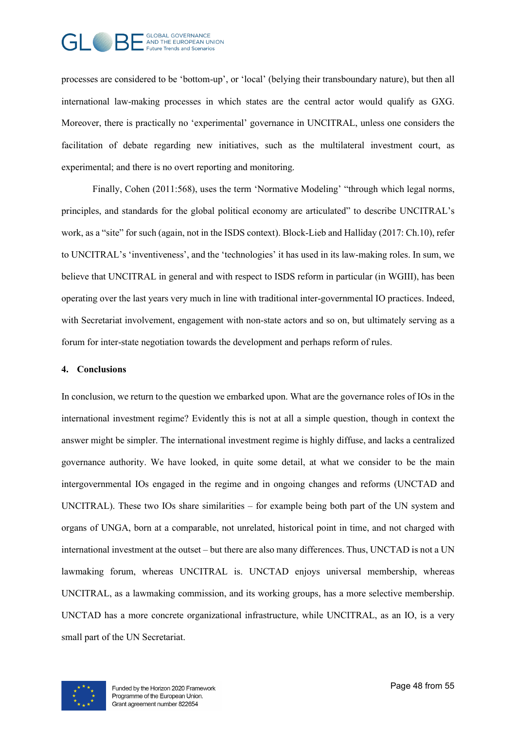

processes are considered to be 'bottom-up', or 'local' (belying their transboundary nature), but then all international law-making processes in which states are the central actor would qualify as GXG. Moreover, there is practically no 'experimental' governance in UNCITRAL, unless one considers the facilitation of debate regarding new initiatives, such as the multilateral investment court, as experimental; and there is no overt reporting and monitoring.

Finally, Cohen (2011:568), uses the term 'Normative Modeling' "through which legal norms, principles, and standards for the global political economy are articulated" to describe UNCITRAL's work, as a "site" for such (again, not in the ISDS context). Block-Lieb and Halliday (2017: Ch.10), refer to UNCITRAL's 'inventiveness', and the 'technologies' it has used in its law-making roles. In sum, we believe that UNCITRAL in general and with respect to ISDS reform in particular (in WGIII), has been operating over the last years very much in line with traditional inter-governmental IO practices. Indeed, with Secretariat involvement, engagement with non-state actors and so on, but ultimately serving as a forum for inter-state negotiation towards the development and perhaps reform of rules.

#### **4. Conclusions**

In conclusion, we return to the question we embarked upon. What are the governance roles of IOs in the international investment regime? Evidently this is not at all a simple question, though in context the answer might be simpler. The international investment regime is highly diffuse, and lacks a centralized governance authority. We have looked, in quite some detail, at what we consider to be the main intergovernmental IOs engaged in the regime and in ongoing changes and reforms (UNCTAD and UNCITRAL). These two IOs share similarities – for example being both part of the UN system and organs of UNGA, born at a comparable, not unrelated, historical point in time, and not charged with international investment at the outset – but there are also many differences. Thus, UNCTAD is not a UN lawmaking forum, whereas UNCITRAL is. UNCTAD enjoys universal membership, whereas UNCITRAL, as a lawmaking commission, and its working groups, has a more selective membership. UNCTAD has a more concrete organizational infrastructure, while UNCITRAL, as an IO, is a very small part of the UN Secretariat.

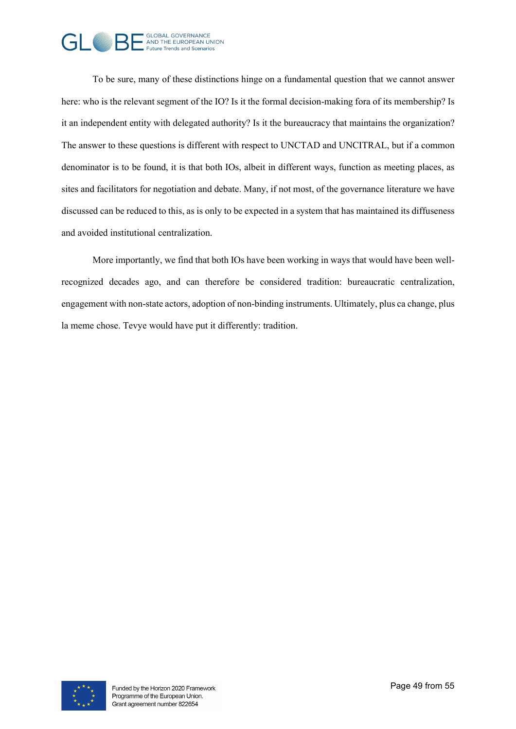

To be sure, many of these distinctions hinge on a fundamental question that we cannot answer here: who is the relevant segment of the IO? Is it the formal decision-making fora of its membership? Is it an independent entity with delegated authority? Is it the bureaucracy that maintains the organization? The answer to these questions is different with respect to UNCTAD and UNCITRAL, but if a common denominator is to be found, it is that both IOs, albeit in different ways, function as meeting places, as sites and facilitators for negotiation and debate. Many, if not most, of the governance literature we have discussed can be reduced to this, as is only to be expected in a system that has maintained its diffuseness and avoided institutional centralization.

More importantly, we find that both IOs have been working in ways that would have been wellrecognized decades ago, and can therefore be considered tradition: bureaucratic centralization, engagement with non-state actors, adoption of non-binding instruments. Ultimately, plus ca change, plus la meme chose. Tevye would have put it differently: tradition.

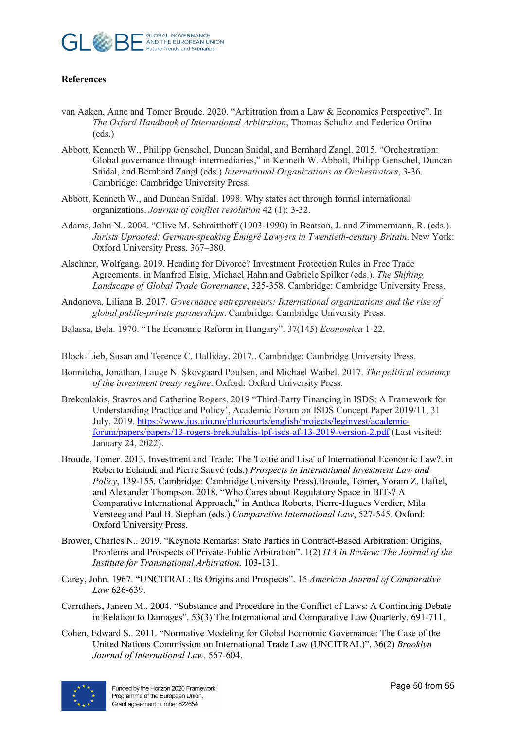

## **References**

- van Aaken, Anne and Tomer Broude. 2020. "Arbitration from a Law & Economics Perspective". In *The Oxford Handbook of International Arbitration*, Thomas Schultz and Federico Ortino (eds.)
- Abbott, Kenneth W., Philipp Genschel, Duncan Snidal, and Bernhard Zangl. 2015. "Orchestration: Global governance through intermediaries," in Kenneth W. Abbott, Philipp Genschel, Duncan Snidal, and Bernhard Zangl (eds.) *International Organizations as Orchestrators*, 3-36. Cambridge: Cambridge University Press.
- Abbott, Kenneth W., and Duncan Snidal. 1998. Why states act through formal international organizations. *Journal of conflict resolution* 42 (1): 3-32.
- Adams, John N.. 2004. "Clive M. Schmitthoff (1903-1990) in Beatson, J. and Zimmermann, R. (eds.). *Jurists Uprooted: German-speaking Émigré Lawyers in Twentieth-century Britain*. New York: Oxford University Press. 367–380.
- Alschner, Wolfgang. 2019. Heading for Divorce? Investment Protection Rules in Free Trade Agreements. in Manfred Elsig, Michael Hahn and Gabriele Spilker (eds.). *The Shifting Landscape of Global Trade Governance*, 325-358. Cambridge: Cambridge University Press.
- Andonova, Liliana B. 2017. *Governance entrepreneurs: International organizations and the rise of global public-private partnerships*. Cambridge: Cambridge University Press.
- Balassa, Bela. 1970. "The Economic Reform in Hungary". 37(145) *Economica* 1-22.

Block-Lieb, Susan and Terence C. Halliday. 2017.. Cambridge: Cambridge University Press.

- Bonnitcha, Jonathan, Lauge N. Skovgaard Poulsen, and Michael Waibel. 2017. *The political economy of the investment treaty regime*. Oxford: Oxford University Press.
- Brekoulakis, Stavros and Catherine Rogers. 2019 "Third-Party Financing in ISDS: A Framework for Understanding Practice and Policy', Academic Forum on ISDS Concept Paper 2019/11, 31 July, 2019. [https://www.jus.uio.no/pluricourts/english/projects/leginvest/academic](https://www.jus.uio.no/pluricourts/english/projects/leginvest/academic-forum/papers/papers/13-rogers-brekoulakis-tpf-isds-af-13-2019-version-2.pdf)[forum/papers/papers/13-rogers-brekoulakis-tpf-isds-af-13-2019-version-2.pdf](https://www.jus.uio.no/pluricourts/english/projects/leginvest/academic-forum/papers/papers/13-rogers-brekoulakis-tpf-isds-af-13-2019-version-2.pdf) (Last visited: January 24, 2022).
- Broude, Tomer. 2013. Investment and Trade: The 'Lottie and Lisa' of International Economic Law?. in Roberto Echandi and Pierre Sauvé (eds.) *Prospects in International Investment Law and Policy*, 139-155. Cambridge: Cambridge University Press).Broude, Tomer, Yoram Z. Haftel, and Alexander Thompson. 2018. "Who Cares about Regulatory Space in BITs? A Comparative International Approach," in Anthea Roberts, Pierre-Hugues Verdier, Mila Versteeg and Paul B. Stephan (eds.) *Comparative International Law*, 527-545. Oxford: Oxford University Press.
- Brower, Charles N.. 2019. "Keynote Remarks: State Parties in Contract-Based Arbitration: Origins, Problems and Prospects of Private-Public Arbitration". 1(2) *ITA in Review: The Journal of the Institute for Transnational Arbitration*. 103-131.
- Carey, John. 1967. "UNCITRAL: Its Origins and Prospects". 15 *American Journal of Comparative Law* 626-639.
- Carruthers, Janeen M.. 2004. "Substance and Procedure in the Conflict of Laws: A Continuing Debate in Relation to Damages". 53(3) The International and Comparative Law Quarterly. 691-711.
- Cohen, Edward S.. 2011. "Normative Modeling for Global Economic Governance: The Case of the United Nations Commission on International Trade Law (UNCITRAL)". 36(2) *Brooklyn Journal of International Law.* 567-604.

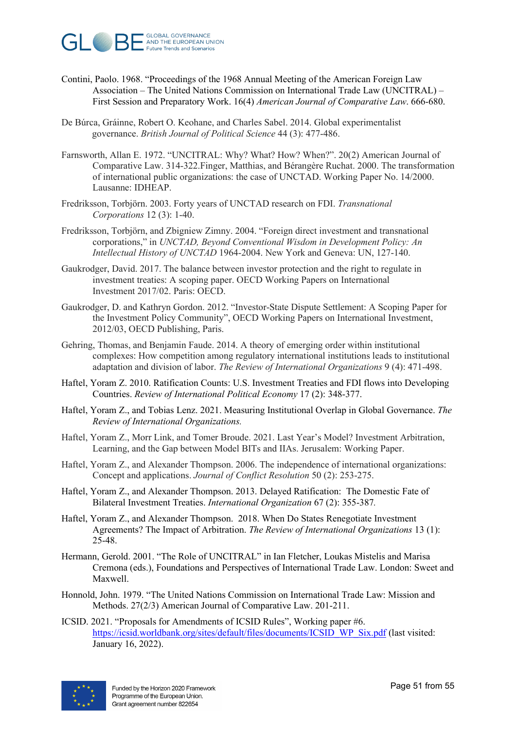

- Contini, Paolo. 1968. "Proceedings of the 1968 Annual Meeting of the American Foreign Law Association – The United Nations Commission on International Trade Law (UNCITRAL) – First Session and Preparatory Work. 16(4) *American Journal of Comparative Law*. 666-680.
- De Búrca, Gráinne, Robert O. Keohane, and Charles Sabel. 2014. Global experimentalist governance. *British Journal of Political Science* 44 (3): 477-486.
- Farnsworth, Allan E. 1972. "UNCITRAL: Why? What? How? When?". 20(2) American Journal of Comparative Law. 314-322.Finger, Matthias, and Bérangère Ruchat. 2000. The transformation of international public organizations: the case of UNCTAD. Working Paper No. 14/2000. Lausanne: IDHEAP.
- Fredriksson, Torbjörn. 2003. Forty years of UNCTAD research on FDI. *Transnational Corporations* 12 (3): 1-40.
- Fredriksson, Torbjörn, and Zbigniew Zimny. 2004. "Foreign direct investment and transnational corporations," in *UNCTAD, Beyond Conventional Wisdom in Development Policy: An Intellectual History of UNCTAD* 1964-2004. New York and Geneva: UN, 127-140.
- Gaukrodger, David. 2017. The balance between investor protection and the right to regulate in investment treaties: A scoping paper. OECD Working Papers on International Investment 2017/02. Paris: OECD.
- Gaukrodger, D. and Kathryn Gordon. 2012. "Investor-State Dispute Settlement: A Scoping Paper for the Investment Policy Community", OECD Working Papers on International Investment, 2012/03, OECD Publishing, Paris.
- Gehring, Thomas, and Benjamin Faude. 2014. A theory of emerging order within institutional complexes: How competition among regulatory international institutions leads to institutional adaptation and division of labor. *The Review of International Organizations* 9 (4): 471-498.
- Haftel, Yoram Z. 2010. Ratification Counts: U.S. Investment Treaties and FDI flows into Developing Countries. *Review of International Political Economy* 17 (2): 348-377.
- Haftel, Yoram Z., and Tobias Lenz. 2021. Measuring Institutional Overlap in Global Governance. *The Review of International Organizations.*
- Haftel, Yoram Z., Morr Link, and Tomer Broude. 2021. Last Year's Model? Investment Arbitration, Learning, and the Gap between Model BITs and IIAs. Jerusalem: Working Paper.
- Haftel, Yoram Z., and Alexander Thompson. 2006. The independence of international organizations: Concept and applications. *Journal of Conflict Resolution* 50 (2): 253-275.
- Haftel, Yoram Z., and Alexander Thompson. 2013. Delayed Ratification: The Domestic Fate of Bilateral Investment Treaties. *International Organization* 67 (2): 355-387*.*
- Haftel, Yoram Z., and Alexander Thompson. 2018. When Do States Renegotiate Investment Agreements? The Impact of Arbitration. *The Review of International Organizations* 13 (1): 25-48.
- Hermann, Gerold. 2001. "The Role of UNCITRAL" in Ian Fletcher, Loukas Mistelis and Marisa Cremona (eds.), Foundations and Perspectives of International Trade Law. London: Sweet and Maxwell.
- Honnold, John. 1979. "The United Nations Commission on International Trade Law: Mission and Methods. 27(2/3) American Journal of Comparative Law. 201-211.
- ICSID. 2021. "Proposals for Amendments of ICSID Rules", Working paper #6. [https://icsid.worldbank.org/sites/default/files/documents/ICSID\\_WP\\_Six.pdf](https://icsid.worldbank.org/sites/default/files/documents/ICSID_WP_Six.pdf) (last visited: January 16, 2022).

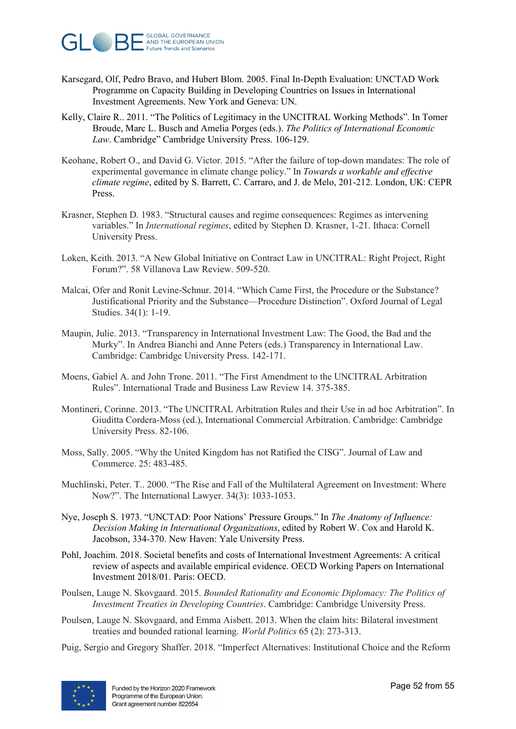

- Karsegard, Olf, Pedro Bravo, and Hubert Blom. 2005. Final In-Depth Evaluation: UNCTAD Work Programme on Capacity Building in Developing Countries on Issues in International Investment Agreements. New York and Geneva: UN.
- Kelly, Claire R.. 2011. "The Politics of Legitimacy in the UNCITRAL Working Methods". In Tomer Broude, Marc L. Busch and Amelia Porges (eds.). *The Politics of International Economic Law*. Cambridge" Cambridge University Press. 106-129.
- Keohane, Robert O., and David G. Victor. 2015. "After the failure of top-down mandates: The role of experimental governance in climate change policy." In *Towards a workable and effective climate regime*, edited by S. Barrett, C. Carraro, and J. de Melo, 201-212. London, UK: CEPR Press.
- Krasner, Stephen D. 1983. "Structural causes and regime consequences: Regimes as intervening variables." In *International regimes*, edited by Stephen D. Krasner, 1-21. Ithaca: Cornell University Press.
- Loken, Keith. 2013. "A New Global Initiative on Contract Law in UNCITRAL: Right Project, Right Forum?". 58 Villanova Law Review. 509-520.
- Malcai, Ofer and Ronit Levine-Schnur. 2014. "Which Came First, the Procedure or the Substance? Justificational Priority and the Substance—Procedure Distinction". Oxford Journal of Legal Studies. 34(1): 1-19.
- Maupin, Julie. 2013. "Transparency in International Investment Law: The Good, the Bad and the Murky". In Andrea Bianchi and Anne Peters (eds.) Transparency in International Law. Cambridge: Cambridge University Press. 142-171.
- Moens, Gabiel A. and John Trone. 2011. "The First Amendment to the UNCITRAL Arbitration Rules". International Trade and Business Law Review 14. 375-385.
- Montineri, Corinne. 2013. "The UNCITRAL Arbitration Rules and their Use in ad hoc Arbitration". In Giuditta Cordera-Moss (ed.), International Commercial Arbitration. Cambridge: Cambridge University Press. 82-106.
- Moss, Sally. 2005. "Why the United Kingdom has not Ratified the CISG". Journal of Law and Commerce. 25: 483-485.
- Muchlinski, Peter. T.. 2000. "The Rise and Fall of the Multilateral Agreement on Investment: Where Now?". The International Lawyer. 34(3): 1033-1053.
- Nye, Joseph S. 1973. "UNCTAD: Poor Nations' Pressure Groups." In *The Anatomy of Influence: Decision Making in International Organizations*, edited by Robert W. Cox and Harold K. Jacobson, 334-370. New Haven: Yale University Press.
- Pohl, Joachim. 2018. Societal benefits and costs of International Investment Agreements: A critical review of aspects and available empirical evidence. OECD Working Papers on International Investment 2018/01. Paris: OECD.
- Poulsen, Lauge N. Skovgaard. 2015. *Bounded Rationality and Economic Diplomacy: The Politics of Investment Treaties in Developing Countries*. Cambridge: Cambridge University Press.
- Poulsen, Lauge N. Skovgaard, and Emma Aisbett. 2013. When the claim hits: Bilateral investment treaties and bounded rational learning. *World Politics* 65 (2): 273-313.
- Puig, Sergio and Gregory Shaffer. 2018. "Imperfect Alternatives: Institutional Choice and the Reform

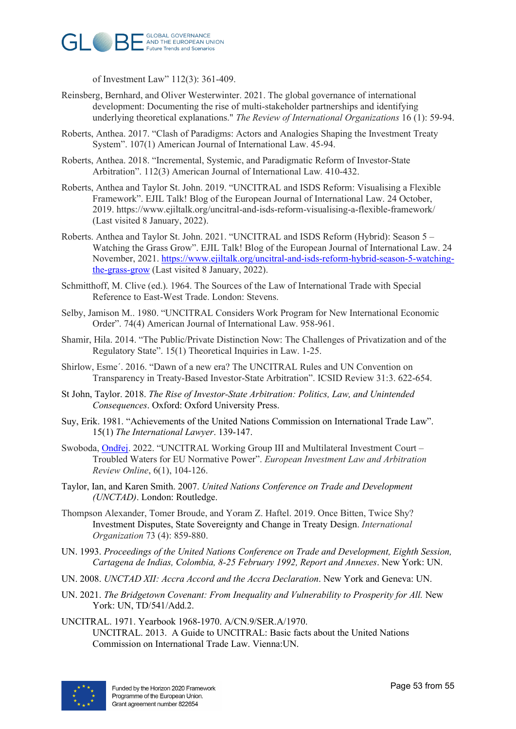

of Investment Law" 112(3): 361-409.

- Reinsberg, Bernhard, and Oliver Westerwinter. 2021. The global governance of international development: Documenting the rise of multi-stakeholder partnerships and identifying underlying theoretical explanations." *The Review of International Organizations* 16 (1): 59-94.
- Roberts, Anthea. 2017. "Clash of Paradigms: Actors and Analogies Shaping the Investment Treaty System". 107(1) American Journal of International Law. 45-94.
- Roberts, Anthea. 2018. "Incremental, Systemic, and Paradigmatic Reform of Investor-State Arbitration". 112(3) American Journal of International Law*.* 410-432.
- Roberts, Anthea and Taylor St. John. 2019. "UNCITRAL and ISDS Reform: Visualising a Flexible Framework". EJIL Talk! Blog of the European Journal of International Law. 24 October, 2019. https://www.ejiltalk.org/uncitral-and-isds-reform-visualising-a-flexible-framework/ (Last visited 8 January, 2022).
- Roberts. Anthea and Taylor St. John. 2021. "UNCITRAL and ISDS Reform (Hybrid): Season 5 Watching the Grass Grow". EJIL Talk! Blog of the European Journal of International Law. 24 November, 2021. [https://www.ejiltalk.org/uncitral-and-isds-reform-hybrid-season-5-watching](https://www.ejiltalk.org/uncitral-and-isds-reform-hybrid-season-5-watching-the-grass-grow)[the-grass-grow](https://www.ejiltalk.org/uncitral-and-isds-reform-hybrid-season-5-watching-the-grass-grow) (Last visited 8 January, 2022).
- Schmitthoff, M. Clive (ed.). 1964. The Sources of the Law of International Trade with Special Reference to East-West Trade. London: Stevens.
- Selby, Jamison M.. 1980. "UNCITRAL Considers Work Program for New International Economic Order". 74(4) American Journal of International Law. 958-961.
- Shamir, Hila. 2014. "The Public/Private Distinction Now: The Challenges of Privatization and of the Regulatory State". 15(1) Theoretical Inquiries in Law. 1-25.
- Shirlow, Esme´. 2016. "Dawn of a new era? The UNCITRAL Rules and UN Convention on Transparency in Treaty-Based Investor-State Arbitration". ICSID Review 31:3. 622-654.
- St John, Taylor. 2018. *The Rise of Investor-State Arbitration: Politics, Law, and Unintended Consequences*. Oxford: Oxford University Press.
- Suy, Erik. 1981. "Achievements of the United Nations Commission on International Trade Law". 15(1) *The International Lawyer*. 139-147.
- Swoboda, [Ondřej](https://brill.com/search?f_0=author&q_0=Ond%C5%99ej+Svoboda). 2022. "UNCITRAL Working Group III and Multilateral Investment Court Troubled Waters for EU Normative Power". *European Investment Law and Arbitration Review Online*, 6(1), 104-126.
- Taylor, Ian, and Karen Smith. 2007. *United Nations Conference on Trade and Development (UNCTAD)*. London: Routledge.
- Thompson Alexander, Tomer Broude, and Yoram Z. Haftel. 2019. Once Bitten, Twice Shy? Investment Disputes, State Sovereignty and Change in Treaty Design. *International Organization* 73 (4): 859-880.
- UN. 1993. *Proceedings of the United Nations Conference on Trade and Development, Eighth Session, Cartagena de Indias, Colombia, 8-25 February 1992, Report and Annexes*. New York: UN.
- UN. 2008. *UNCTAD XII: Accra Accord and the Accra Declaration*. New York and Geneva: UN.
- UN. 2021. *The Bridgetown Covenant: From Inequality and Vulnerability to Prosperity for All.* New York: UN, TD/541/Add.2.
- UNCITRAL. 1971. Yearbook 1968-1970. A/CN.9/SER.A/1970. UNCITRAL. 2013. A Guide to UNCITRAL: Basic facts about the United Nations Commission on International Trade Law. Vienna:UN.

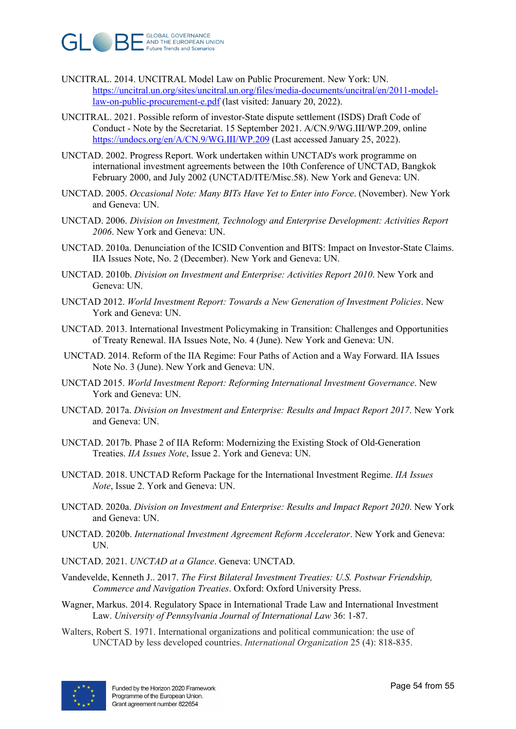

- UNCITRAL. 2014. UNCITRAL Model Law on Public Procurement. New York: UN. [https://uncitral.un.org/sites/uncitral.un.org/files/media-documents/uncitral/en/2011-model](https://uncitral.un.org/sites/uncitral.un.org/files/media-documents/uncitral/en/2011-model-law-on-public-procurement-e.pdf)[law-on-public-procurement-e.pdf](https://uncitral.un.org/sites/uncitral.un.org/files/media-documents/uncitral/en/2011-model-law-on-public-procurement-e.pdf) (last visited: January 20, 2022).
- UNCITRAL. 2021. Possible reform of investor-State dispute settlement (ISDS) Draft Code of Conduct - Note by the Secretariat. 15 September 2021. A/CN.9/WG.III/WP.209, online <https://undocs.org/en/A/CN.9/WG.III/WP.209> (Last accessed January 25, 2022).
- UNCTAD. 2002. Progress Report. Work undertaken within UNCTAD's work programme on international investment agreements between the 10th Conference of UNCTAD, Bangkok February 2000, and July 2002 (UNCTAD/ITE/Misc.58). New York and Geneva: UN.
- UNCTAD. 2005. *Occasional Note: Many BITs Have Yet to Enter into Force*. (November). New York and Geneva: UN.
- UNCTAD. 2006. *Division on Investment, Technology and Enterprise Development: Activities Report 2006*. New York and Geneva: UN.
- UNCTAD. 2010a. [Denunciation of the ICSID Convention and BITS: Impact on Investor-State Claims.](http://www.unctad.org/en/docs/webdiaeia20106_en.pdf) IIA Issues Note, No. 2 (December). New York and Geneva: UN.
- UNCTAD. 2010b. *Division on Investment and Enterprise: Activities Report 2010*. New York and Geneva: UN.
- UNCTAD 2012. *World Investment Report: Towards a New Generation of Investment Policies*. New York and Geneva: UN.
- UNCTAD. 2013. [International](http://www.unctad.org/en/docs/webdiaeia20106_en.pdf) Investment Policymaking in Transition: Challenges and Opportunities of Treaty Renewal. IIA Issues Note, No. 4 (June). New York and Geneva: UN.
- UNCTAD. 2014. Reform of the IIA Regime: Four Paths of Action and a Way Forward. IIA Issues Note No. 3 (June). New York and Geneva: UN.
- UNCTAD 2015. *World Investment Report: Reforming International Investment Governance*. New York and Geneva: UN.
- UNCTAD. 2017a. *Division on Investment and Enterprise: Results and Impact Report 2017*. New York and Geneva: UN.
- UNCTAD. 2017b. Phase 2 of IIA Reform: Modernizing the Existing Stock of Old-Generation Treaties. *IIA Issues Note*, Issue 2. York and Geneva: UN.
- UNCTAD. 2018. UNCTAD Reform Package for the International Investment Regime. *IIA Issues Note*, Issue 2. York and Geneva: UN.
- UNCTAD. 2020a. *Division on Investment and Enterprise: Results and Impact Report 2020*. New York and Geneva: UN.
- UNCTAD. 2020b. *International Investment Agreement Reform Accelerator*. New York and Geneva: UN.
- UNCTAD. 2021. *UNCTAD at a Glance*. Geneva: UNCTAD.
- Vandevelde, Kenneth J.. 2017. *The First Bilateral Investment Treaties: U.S. Postwar Friendship, Commerce and Navigation Treaties*. Oxford: Oxford University Press.
- Wagner, Markus. 2014. Regulatory Space in International Trade Law and International Investment Law. *University of Pennsylvania Journal of International Law* 36: 1-87.
- Walters, Robert S. 1971. International organizations and political communication: the use of UNCTAD by less developed countries. *International Organization* 25 (4): 818-835.